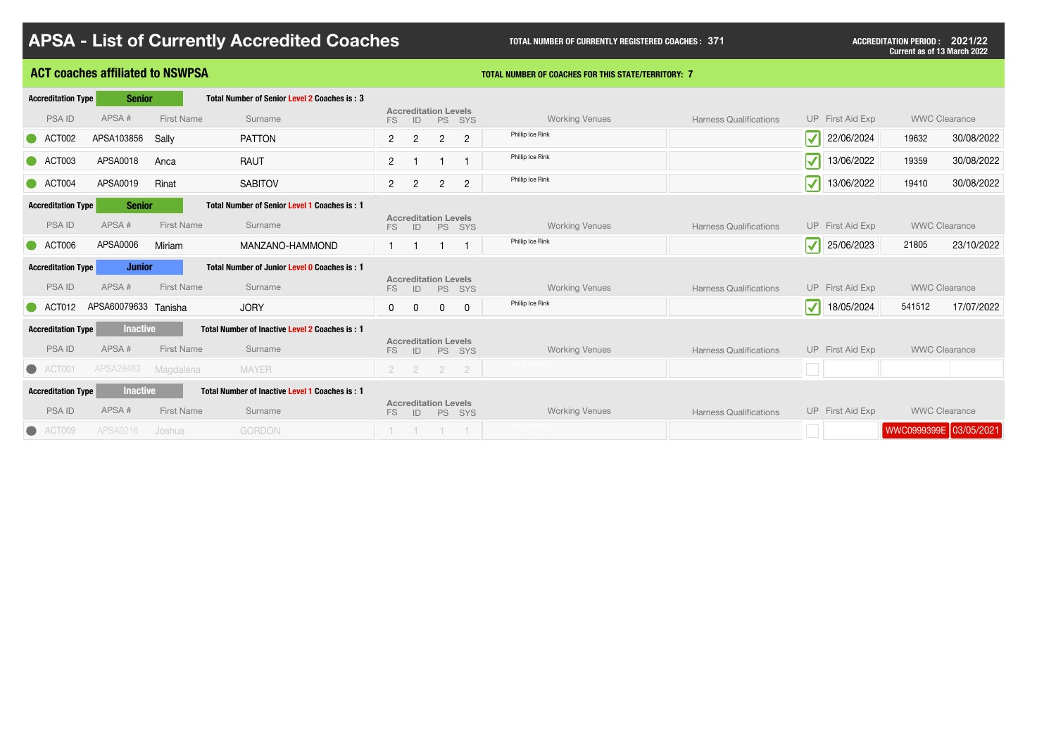I

|                                              | <b>APSA - List of Currently Accredited Coaches</b>    |                                                                     | <b>TOTAL NUMBER OF CURRENTLY REGISTERED COACHES: 371</b>   |                               |                                    | <b>ACCREDITATION PERIOD : 2021/22</b><br><b>Current as of 13 March 2022</b> |
|----------------------------------------------|-------------------------------------------------------|---------------------------------------------------------------------|------------------------------------------------------------|-------------------------------|------------------------------------|-----------------------------------------------------------------------------|
| <b>ACT coaches affiliated to NSWPSA</b>      |                                                       |                                                                     | <b>TOTAL NUMBER OF COACHES FOR THIS STATE/TERRITORY: 7</b> |                               |                                    |                                                                             |
| <b>Accreditation Type</b><br><b>Senior</b>   | Total Number of Senior Level 2 Coaches is: 3          |                                                                     |                                                            |                               |                                    |                                                                             |
| APSA#<br><b>PSAID</b><br><b>First Name</b>   | Surname                                               | <b>Accreditation Levels</b><br>FS<br>ID<br>PS SYS                   | <b>Working Venues</b>                                      | <b>Harness Qualifications</b> | UP First Aid Exp                   | <b>WWC Clearance</b>                                                        |
| APSA103856<br>ACT002<br>Sally                | <b>PATTON</b>                                         | $2^{\circ}$<br>$\overline{2}$<br>$2^{\circ}$<br>2 <sup>1</sup>      | Phillip Ice Rink                                           |                               | $\sqrt{}$<br>22/06/2024            | 30/08/2022<br>19632                                                         |
| ACT003<br>APSA0018<br>Anca                   | <b>RAUT</b>                                           | 2 <sup>1</sup>                                                      | Phillip Ice Rink                                           |                               | $\blacktriangledown$<br>13/06/2022 | 19359<br>30/08/2022                                                         |
| APSA0019<br>Rinat<br>ACT004                  | <b>SABITOV</b>                                        | $2^{\circ}$<br>$\overline{2}$<br>2 <sup>1</sup><br>$\overline{2}$   | Phillip Ice Rink                                           |                               | 13/06/2022<br>$\blacktriangledown$ | 19410<br>30/08/2022                                                         |
| <b>Senior</b><br><b>Accreditation Type</b>   | <b>Total Number of Senior Level 1 Coaches is: 1</b>   |                                                                     |                                                            |                               |                                    |                                                                             |
| APSA#<br><b>PSAID</b><br><b>First Name</b>   | Surname                                               | <b>Accreditation Levels</b><br>FS<br><b>PS</b><br>ID<br><b>SYS</b>  | <b>Working Venues</b>                                      | <b>Harness Qualifications</b> | UP First Aid Exp                   | <b>WWC Clearance</b>                                                        |
| APSA0006<br>ACT006<br>Miriam                 | MANZANO-HAMMOND                                       |                                                                     | Phillip Ice Rink                                           |                               | $\blacktriangledown$<br>25/06/2023 | 23/10/2022<br>21805                                                         |
| <b>Accreditation Type</b><br><b>Junior</b>   | Total Number of Junior Level 0 Coaches is: 1          |                                                                     |                                                            |                               |                                    |                                                                             |
| APSA#<br><b>PSAID</b><br><b>First Name</b>   | Surname                                               | <b>Accreditation Levels</b><br><b>PS</b><br>FS.<br>ID<br><b>SYS</b> | <b>Working Venues</b>                                      | <b>Harness Qualifications</b> | UP First Aid Exp                   | <b>WWC Clearance</b>                                                        |
| APSA60079633 Tanisha<br>ACT012               | <b>JORY</b>                                           | $\mathbf 0$<br>$\overline{0}$<br>$\mathbf 0$<br>$\mathbf 0$         | Phillip Ice Rink                                           |                               | $\blacktriangledown$<br>18/05/2024 | 17/07/2022<br>541512                                                        |
| <b>Inactive</b><br><b>Accreditation Type</b> | <b>Total Number of Inactive Level 2 Coaches is: 1</b> |                                                                     |                                                            |                               |                                    |                                                                             |
| APSA#<br><b>PSAID</b><br><b>First Name</b>   | Surname                                               | <b>Accreditation Levels</b><br>FS<br>PS SYS<br>ID                   | <b>Working Venues</b>                                      | <b>Harness Qualifications</b> | UP First Aid Exp                   | <b>WWC Clearance</b>                                                        |
| APSA28483<br>ACT001<br>Magdalena             | <b>MAYER</b>                                          | $\mathbf{2}$<br>$\overline{2}$<br>$\overline{2}$<br>$\overline{2}$  |                                                            |                               |                                    |                                                                             |
| <b>Inactive</b><br><b>Accreditation Type</b> | Total Number of Inactive Level 1 Coaches is: 1        |                                                                     |                                                            |                               |                                    |                                                                             |
| APSA#<br><b>PSAID</b><br><b>First Name</b>   | Surname                                               | <b>Accreditation Levels</b><br>PS SYS<br>FS.<br>ID                  | <b>Working Venues</b>                                      | <b>Harness Qualifications</b> | UP First Aid Exp                   | <b>WWC Clearance</b>                                                        |
| APSA0216<br>ACT009<br>Joshua                 | <b>GORDON</b>                                         |                                                                     |                                                            |                               |                                    | WWC0999399E 03/05/2021                                                      |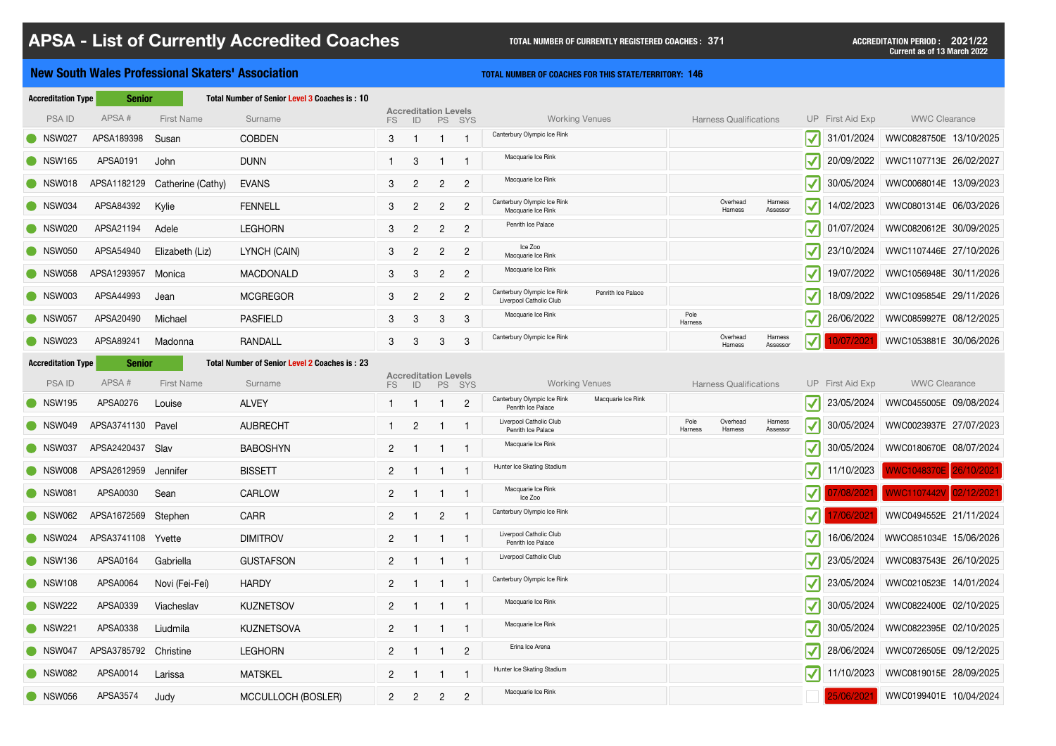### **New South Wales Professional Skaters' Association THE CONSTRANT CONCHES FOR THIS STATE/TERRITORY:** 146

| <b>Accreditation Type</b> |                   |                                                                                                                                                                                                     |                                                                                                       |                 |                |                |                                                                                |                 |                     |                     |                                                                |            |                                                                                                                                                                                                                                                                                   |
|---------------------------|-------------------|-----------------------------------------------------------------------------------------------------------------------------------------------------------------------------------------------------|-------------------------------------------------------------------------------------------------------|-----------------|----------------|----------------|--------------------------------------------------------------------------------|-----------------|---------------------|---------------------|----------------------------------------------------------------|------------|-----------------------------------------------------------------------------------------------------------------------------------------------------------------------------------------------------------------------------------------------------------------------------------|
| APSA#                     | <b>First Name</b> | Surname                                                                                                                                                                                             | FS                                                                                                    | ID              |                |                | <b>Working Venues</b>                                                          |                 |                     |                     |                                                                |            | <b>WWC Clearance</b>                                                                                                                                                                                                                                                              |
| APSA189398                | Susan             | <b>COBDEN</b>                                                                                                                                                                                       | 3 <sup>1</sup>                                                                                        |                 |                |                | Canterbury Olympic Ice Rink                                                    |                 |                     |                     | $ \boldsymbol{\mathcal{N}} $                                   | 31/01/2024 | WWC0828750E 13/10/2025                                                                                                                                                                                                                                                            |
| APSA0191                  | John              | <b>DUNN</b>                                                                                                                                                                                         |                                                                                                       | $\mathbf{3}$    |                |                | Macquarie Ice Rink                                                             |                 |                     |                     | $\blacktriangledown$                                           | 20/09/2022 | WWC1107713E 26/02/2027                                                                                                                                                                                                                                                            |
|                           | Catherine (Cathy) | <b>EVANS</b>                                                                                                                                                                                        | 3                                                                                                     | $\overline{2}$  | $\overline{2}$ | $\overline{2}$ | Macquarie Ice Rink                                                             |                 |                     |                     | $\blacktriangledown$                                           | 30/05/2024 | WWC0068014E 13/09/2023                                                                                                                                                                                                                                                            |
| APSA84392                 | Kylie             | <b>FENNELL</b>                                                                                                                                                                                      | 3                                                                                                     | $\overline{2}$  | 2 <sup>1</sup> | $\overline{2}$ | Canterbury Olympic Ice Rink<br>Macquarie Ice Rink                              |                 | Overhead<br>Harness | Harness<br>Assessor |                                                                | 14/02/2023 | WWC0801314E 06/03/2026                                                                                                                                                                                                                                                            |
| APSA21194                 | Adele             | <b>LEGHORN</b>                                                                                                                                                                                      | 3 <sup>1</sup>                                                                                        | $\overline{2}$  | 2 <sup>1</sup> | $\overline{2}$ | Penrith Ice Palace                                                             |                 |                     |                     | $ \boldsymbol{\mathcal{N}} $                                   | 01/07/2024 | WWC0820612E 30/09/2025                                                                                                                                                                                                                                                            |
| APSA54940                 | Elizabeth (Liz)   | LYNCH (CAIN)                                                                                                                                                                                        | 3 <sup>1</sup>                                                                                        | $\overline{2}$  | $\overline{2}$ | $\overline{2}$ | Ice Zoo<br>Macquarie Ice Rink                                                  |                 |                     |                     | $ \boldsymbol{\mathcal{N}} $                                   | 23/10/2024 | WWC1107446E 27/10/2026                                                                                                                                                                                                                                                            |
|                           | Monica            | <b>MACDONALD</b>                                                                                                                                                                                    | 3                                                                                                     | $\mathbf{3}$    | $\overline{2}$ | $\overline{2}$ | Macquarie Ice Rink                                                             |                 |                     |                     | $\blacktriangledown$                                           | 19/07/2022 | WWC1056948E 30/11/2026                                                                                                                                                                                                                                                            |
| APSA44993                 | Jean              | <b>MCGREGOR</b>                                                                                                                                                                                     | 3 <sup>1</sup>                                                                                        | $\overline{2}$  | $\overline{2}$ | $\overline{2}$ | Canterbury Olympic Ice Rink<br>Penrith Ice Palace<br>Liverpool Catholic Club   |                 |                     |                     | $\blacktriangledown$                                           | 18/09/2022 | WWC1095854E 29/11/2026                                                                                                                                                                                                                                                            |
| APSA20490                 | Michael           | <b>PASFIELD</b>                                                                                                                                                                                     | 3                                                                                                     | 3               | $\mathbf{3}$   | $\mathbf{3}$   | Macquarie Ice Rink                                                             | Pole<br>Harness |                     |                     | $\vert\blacktriangledown\vert$                                 | 26/06/2022 | WWC0859927E 08/12/2025                                                                                                                                                                                                                                                            |
| APSA89241                 | Madonna           | <b>RANDALL</b>                                                                                                                                                                                      | 3 <sup>1</sup>                                                                                        | $3\overline{3}$ | 3 <sup>°</sup> | 3              | Canterbury Olympic Ice Rink                                                    |                 | Overhead<br>Harness | Harness<br>Assessor |                                                                | 0/07/202   | WWC1053881E 30/06/2026                                                                                                                                                                                                                                                            |
| <b>Accreditation Type</b> |                   |                                                                                                                                                                                                     |                                                                                                       |                 |                |                |                                                                                |                 |                     |                     |                                                                |            |                                                                                                                                                                                                                                                                                   |
| APSA#                     | <b>First Name</b> | Surname                                                                                                                                                                                             | FS                                                                                                    | ID              |                |                | <b>Working Venues</b>                                                          |                 |                     |                     |                                                                |            | <b>WWC Clearance</b>                                                                                                                                                                                                                                                              |
| APSA0276                  | Louise            | <b>ALVEY</b>                                                                                                                                                                                        |                                                                                                       |                 |                | $\overline{2}$ | Canterbury Olympic Ice Rink<br>Macquarie Ice Rink<br>Penrith Ice Palace        |                 |                     |                     |                                                                | 23/05/2024 | WWC0455005E 09/08/2024                                                                                                                                                                                                                                                            |
|                           |                   | <b>AUBRECHT</b>                                                                                                                                                                                     |                                                                                                       | $\overline{2}$  |                |                | Liverpool Catholic Club<br>Penrith Ice Palace                                  | Pole<br>Harness | Overhead<br>Harness | Harness<br>Assessor | $\blacktriangledown$                                           | 30/05/2024 | WWC0023937E 27/07/2023                                                                                                                                                                                                                                                            |
|                           |                   | <b>BABOSHYN</b>                                                                                                                                                                                     | 2 <sup>1</sup>                                                                                        |                 |                |                | Macquarie Ice Rink                                                             |                 |                     |                     |                                                                | 30/05/2024 | WWC0180670E 08/07/2024                                                                                                                                                                                                                                                            |
|                           |                   | <b>BISSETT</b>                                                                                                                                                                                      | 2 <sup>1</sup>                                                                                        |                 |                |                | Hunter Ice Skating Stadium                                                     |                 |                     |                     |                                                                | 11/10/2023 | WWC1048370E 26/10/2021                                                                                                                                                                                                                                                            |
| APSA0030                  | Sean              | <b>CARLOW</b>                                                                                                                                                                                       | 2 <sup>1</sup>                                                                                        |                 |                |                | Macquarie Ice Rink<br>Ice Zoo                                                  |                 |                     |                     |                                                                | 17/08/2021 | WWC1107442V 02/12/2021                                                                                                                                                                                                                                                            |
|                           |                   | <b>CARR</b>                                                                                                                                                                                         | 2 <sup>1</sup>                                                                                        |                 | $2^{\circ}$    |                | Canterbury Olympic Ice Rink                                                    |                 |                     |                     |                                                                | 7/06/2021  | WWC0494552E 21/11/2024                                                                                                                                                                                                                                                            |
|                           |                   | <b>DIMITROV</b>                                                                                                                                                                                     | 2 <sup>1</sup>                                                                                        |                 |                |                | Liverpool Catholic Club<br>Penrith Ice Palace                                  |                 |                     |                     |                                                                | 16/06/2024 | WWCO851034E 15/06/2026                                                                                                                                                                                                                                                            |
| APSA0164                  | Gabriella         | <b>GUSTAFSON</b>                                                                                                                                                                                    | 2 <sup>1</sup>                                                                                        |                 |                |                | Liverpool Catholic Club                                                        |                 |                     |                     | $ \boldsymbol{\mathcal{N}} $                                   | 23/05/2024 | WWC0837543E 26/10/2025                                                                                                                                                                                                                                                            |
| APSA0064                  | Novi (Fei-Fei)    | <b>HARDY</b>                                                                                                                                                                                        | 2 <sup>1</sup>                                                                                        |                 |                |                | Canterbury Olympic Ice Rink                                                    |                 |                     |                     |                                                                | 23/05/2024 | WWC0210523E 14/01/2024                                                                                                                                                                                                                                                            |
| APSA0339                  | Viacheslav        | <b>KUZNETSOV</b>                                                                                                                                                                                    | 2 <sup>1</sup>                                                                                        |                 |                |                | Macquarie Ice Rink                                                             |                 |                     |                     | $\vert\blacktriangledown\vert$                                 | 30/05/2024 | WWC0822400E 02/10/2025                                                                                                                                                                                                                                                            |
| APSA0338                  | Liudmila          | <b>KUZNETSOVA</b>                                                                                                                                                                                   | $\mathbf{2}$                                                                                          |                 |                |                | Macquarie Ice Rink                                                             |                 |                     |                     | $\vert\blacktriangledown\vert$                                 | 30/05/2024 | WWC0822395E 02/10/2025                                                                                                                                                                                                                                                            |
|                           |                   | <b>LEGHORN</b>                                                                                                                                                                                      | 2 <sup>1</sup>                                                                                        |                 |                | $\overline{2}$ | Erina Ice Arena                                                                |                 |                     |                     |                                                                | 28/06/2024 | WWC0726505E 09/12/2025                                                                                                                                                                                                                                                            |
| APSA0014                  | Larissa           | <b>MATSKEL</b>                                                                                                                                                                                      | $\mathbf{2}$                                                                                          |                 |                |                | Hunter Ice Skating Stadium                                                     |                 |                     |                     | $\vert\blacktriangledown\vert$                                 | 11/10/2023 | WWC0819015E 28/09/2025                                                                                                                                                                                                                                                            |
| APSA3574                  | Judy              | <b>MCCULLOCH (BOSLER)</b>                                                                                                                                                                           | 2 <sup>1</sup>                                                                                        | $\mathbf{2}$    | 2 <sup>1</sup> | $\overline{2}$ | Macquarie Ice Rink                                                             |                 |                     |                     |                                                                | 25/06/2021 | WWC0199401E 10/04/2024                                                                                                                                                                                                                                                            |
|                           |                   | <b>Senior</b><br>APSA1182129<br>APSA1293957<br><b>Senior</b><br>APSA3741130 Pavel<br>APSA2420437 Slav<br>APSA2612959 Jennifer<br>APSA1672569 Stephen<br>APSA3741108 Yvette<br>APSA3785792 Christine | <b>Total Number of Senior Level 3 Coaches is: 10</b><br>Total Number of Senior Level 2 Coaches is: 23 |                 |                |                | <b>Accreditation Levels</b><br>PS SYS<br><b>Accreditation Levels</b><br>PS SYS |                 |                     |                     | <b>Harness Qualifications</b><br><b>Harness Qualifications</b> |            | UP First Aid Exp<br>$\blacktriangledown$<br>$\blacktriangledown$ ll<br>UP First Aid Exp<br>$\vert \mathcal{V} \vert$<br>$\vert \blacktriangledown \vert$<br>$\mathbf{V}$ $\mathbf{I}$<br>$\blacktriangledown$ ll<br>$\vert \blacktriangledown \vert$<br>$\vert \mathcal{V} \vert$ |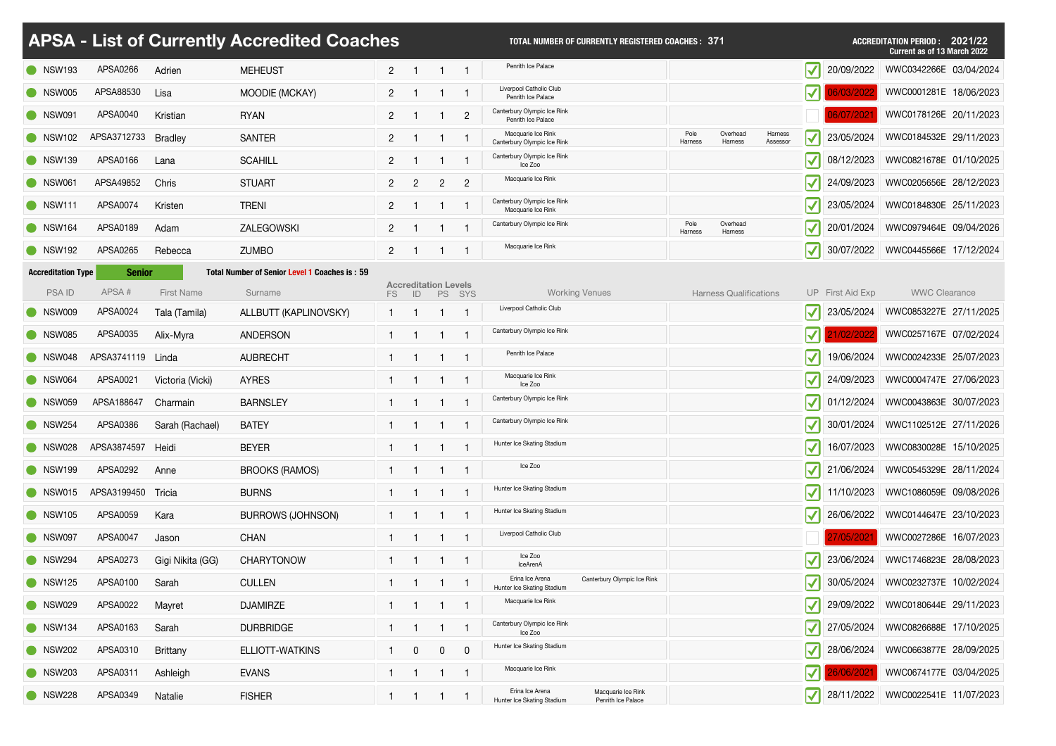|                           |                    |                   | <b>APSA - List of Currently Accredited Coaches</b>   |                       |                                   |                |                | <b>TOTAL NUMBER OF CURRENTLY REGISTERED COACHES: 371</b>                                  |                 |                               |                     |                                                | ACCREDITATION PERIOD: 2021/22<br><b>Current as of 13 March 2022</b> |
|---------------------------|--------------------|-------------------|------------------------------------------------------|-----------------------|-----------------------------------|----------------|----------------|-------------------------------------------------------------------------------------------|-----------------|-------------------------------|---------------------|------------------------------------------------|---------------------------------------------------------------------|
| • NSW193                  | APSA0266           | Adrien            | <b>MEHEUST</b>                                       | $\overline{2}$        |                                   |                |                | Penrith Ice Palace                                                                        |                 |                               |                     | $\mathbf{V}^{\prime}$<br>20/09/2022            | WWC0342266E 03/04/2024                                              |
| SW005                     | APSA88530          | Lisa              | MOODIE (MCKAY)                                       | $\mathbf{2}^{\prime}$ |                                   |                |                | Liverpool Catholic Club<br>Penrith Ice Palace                                             |                 |                               |                     | $\blacktriangledown$                           | WWC0001281E 18/06/2023                                              |
| Sand NSW091               | <b>APSA0040</b>    | Kristian          | <b>RYAN</b>                                          | $\mathbf{2}$          |                                   |                | $\overline{2}$ | Canterbury Olympic Ice Rink<br>Penrith Ice Palace                                         |                 |                               |                     |                                                | WWC0178126E 20/11/2023                                              |
| $\bullet$ NSW102          | APSA3712733        | Bradley           | <b>SANTER</b>                                        | 2 <sup>1</sup>        |                                   |                |                | Macquarie Ice Rink<br>Canterbury Olympic Ice Rink                                         | Pole<br>Harness | Overhead<br>Harness           | Harness<br>Assessor | $\blacktriangledown$<br>23/05/2024             | WWC0184532E 29/11/2023                                              |
| Sand NSW139               | APSA0166           | Lana              | <b>SCAHILL</b>                                       | $\overline{2}$        |                                   |                |                | Canterbury Olympic Ice Rink<br>Ice Zoo                                                    |                 |                               |                     | 08/12/2023<br>$\blacktriangledown$             | WWC0821678E 01/10/2025                                              |
| SW061                     | APSA49852          | <b>Chris</b>      | <b>STUART</b>                                        | $\overline{2}$        | $\overline{2}$                    | $2^{\circ}$    | $\overline{2}$ | Macquarie Ice Rink                                                                        |                 |                               |                     | 24/09/2023<br>$\blacktriangledown$             | WWC0205656E 28/12/2023                                              |
| NSW111                    | <b>APSA0074</b>    | Kristen           | <b>TRENI</b>                                         | $\mathbf{2}^{\prime}$ |                                   |                |                | Canterbury Olympic Ice Rink<br>Macquarie Ice Rink                                         |                 |                               |                     | 23/05/2024<br>$\blacktriangledown$             | WWC0184830E 25/11/2023                                              |
| NSW164                    | APSA0189           | Adam              | ZALEGOWSKI                                           | 2 <sup>1</sup>        |                                   |                |                | Canterbury Olympic Ice Rink                                                               | Pole<br>Harness | Overhead<br>Harness           |                     | 20/01/2024<br>$\blacktriangledown$             | WWC0979464E 09/04/2026                                              |
| • NSW192                  | APSA0265           | Rebecca           | <b>ZUMBO</b>                                         | $\overline{2}$        |                                   |                |                | Macquarie Ice Rink                                                                        |                 |                               |                     | 30/07/2022<br>$\blacktriangledown$             | WWC0445566E 17/12/2024                                              |
| <b>Accreditation Type</b> | <b>Senior</b>      |                   | <b>Total Number of Senior Level 1 Coaches is: 59</b> |                       |                                   |                |                |                                                                                           |                 |                               |                     |                                                |                                                                     |
| <b>PSAID</b>              | APSA#              | <b>First Name</b> | Surname                                              | FS                    | <b>Accreditation Levels</b><br>ID | <b>PS</b>      | SYS            | <b>Working Venues</b>                                                                     |                 | <b>Harness Qualifications</b> |                     | UP First Aid Exp                               | <b>WWC Clearance</b>                                                |
| NSW009                    | APSA0024           | Tala (Tamila)     | ALLBUTT (KAPLINOVSKY)                                |                       |                                   |                |                | Liverpool Catholic Club                                                                   |                 |                               |                     | $\blacktriangledown$<br>23/05/2024             | WWC0853227E 27/11/2025                                              |
| SW085                     | APSA0035           | Alix-Myra         | <b>ANDERSON</b>                                      |                       |                                   |                |                | Canterbury Olympic Ice Rink                                                               |                 |                               |                     | $ \blacktriangledown $                         | WWC0257167E 07/02/2024                                              |
| SW048                     | APSA3741119 Linda  |                   | <b>AUBRECHT</b>                                      |                       |                                   |                |                | Penrith Ice Palace                                                                        |                 |                               |                     | 19/06/2024                                     | WWC0024233E 25/07/2023                                              |
| NSW064                    | APSA0021           | Victoria (Vicki)  | <b>AYRES</b>                                         |                       | - 1                               | $\overline{1}$ |                | Macquarie Ice Rink<br>Ice Zoo                                                             |                 |                               |                     | 24/09/2023<br>$ \blacktriangledown $           | WWC0004747E 27/06/2023                                              |
| SW059                     | APSA188647         | Charmain          | <b>BARNSLEY</b>                                      |                       |                                   |                |                | Canterbury Olympic Ice Rink                                                               |                 |                               |                     | 01/12/2024                                     | WWC0043863E 30/07/2023                                              |
| $\bullet$ NSW254          | APSA0386           | Sarah (Rachael)   | <b>BATEY</b>                                         |                       |                                   | -1             |                | Canterbury Olympic Ice Rink                                                               |                 |                               |                     | 30/01/2024                                     | WWC1102512E 27/11/2026                                              |
| SW028                     | APSA3874597 Heidi  |                   | <b>BEYER</b>                                         |                       |                                   |                |                | Hunter Ice Skating Stadium                                                                |                 |                               |                     | 16/07/2023<br>$ \blacktriangledown $           | WWC0830028E 15/10/2025                                              |
| • NSW199                  | APSA0292           | Anne              | <b>BROOKS (RAMOS)</b>                                |                       |                                   | $\overline{1}$ |                | Ice Zoo                                                                                   |                 |                               |                     | 21/06/2024<br>$\vert \blacktriangledown \vert$ | WWC0545329E 28/11/2024                                              |
| SW015                     | APSA3199450 Tricia |                   | <b>BURNS</b>                                         |                       | - 1                               | $\overline{1}$ |                | Hunter Ice Skating Stadium                                                                |                 |                               |                     | 11/10/2023<br>$ \blacktriangledown $           | WWC1086059E 09/08/2026                                              |
| • NSW105                  | APSA0059           | Kara              | <b>BURROWS (JOHNSON)</b>                             |                       |                                   |                |                | Hunter Ice Skating Stadium                                                                |                 |                               |                     | 26/06/2022<br>$ \blacktriangledown $           | WWC0144647E 23/10/2023                                              |
| SW097                     | APSA0047           | Jason             | <b>CHAN</b>                                          |                       | - 1                               | -1             |                | Liverpool Catholic Club                                                                   |                 |                               |                     | 27/05/2021                                     | WWC0027286E 16/07/2023                                              |
| $\bullet$ NSW294          | APSA0273           | Gigi Nikita (GG)  | <b>CHARYTONOW</b>                                    |                       |                                   |                |                | Ice Zoo<br>IceArenA                                                                       |                 |                               |                     | 23/06/2024                                     | WWC1746823E 28/08/2023                                              |
| • NSW125                  | APSA0100           | Sarah             | <b>CULLEN</b>                                        |                       |                                   |                |                | Canterbury Olympic Ice Rink<br>Erina Ice Arena<br>Hunter Ice Skating Stadium              |                 |                               |                     | 30/05/2024<br>$ \blacktriangledown $           | WWC0232737E 10/02/2024                                              |
| SW029                     | APSA0022           | Mayret            | <b>DJAMIRZE</b>                                      |                       |                                   | $\overline{1}$ |                | Macquarie Ice Rink                                                                        |                 |                               |                     | 29/09/2022<br>$ \blacktriangledown $           | WWC0180644E 29/11/2023                                              |
| • NSW134                  | APSA0163           | Sarah             | <b>DURBRIDGE</b>                                     |                       |                                   |                |                | Canterbury Olympic Ice Rink<br>Ice Zoo                                                    |                 |                               |                     | 27/05/2024<br>$\vert \blacktriangledown \vert$ | WWC0826688E 17/10/2025                                              |
| <b>NSW202</b>             | APSA0310           | Brittany          | ELLIOTT-WATKINS                                      |                       | $\mathbf 0$                       | $\overline{0}$ | $\mathbf 0$    | Hunter Ice Skating Stadium                                                                |                 |                               |                     | 28/06/2024<br>$ \boldsymbol{\mathcal{N}} $     | WWC0663877E 28/09/2025                                              |
| <b>NSW203</b>             | APSA0311           | Ashleigh          | <b>EVANS</b>                                         |                       |                                   |                |                | Macquarie Ice Rink                                                                        |                 |                               |                     | $\bm{\mathsf{V}}$ ll<br>26/06/2021             | WWC0674177E 03/04/2025                                              |
| <b>O</b> NSW228           | APSA0349           | Natalie           | <b>FISHER</b>                                        |                       |                                   |                |                | Erina Ice Arena<br>Macquarie Ice Rink<br>Hunter Ice Skating Stadium<br>Penrith Ice Palace |                 |                               |                     |                                                | 28/11/2022   WWC0022541E 11/07/2023                                 |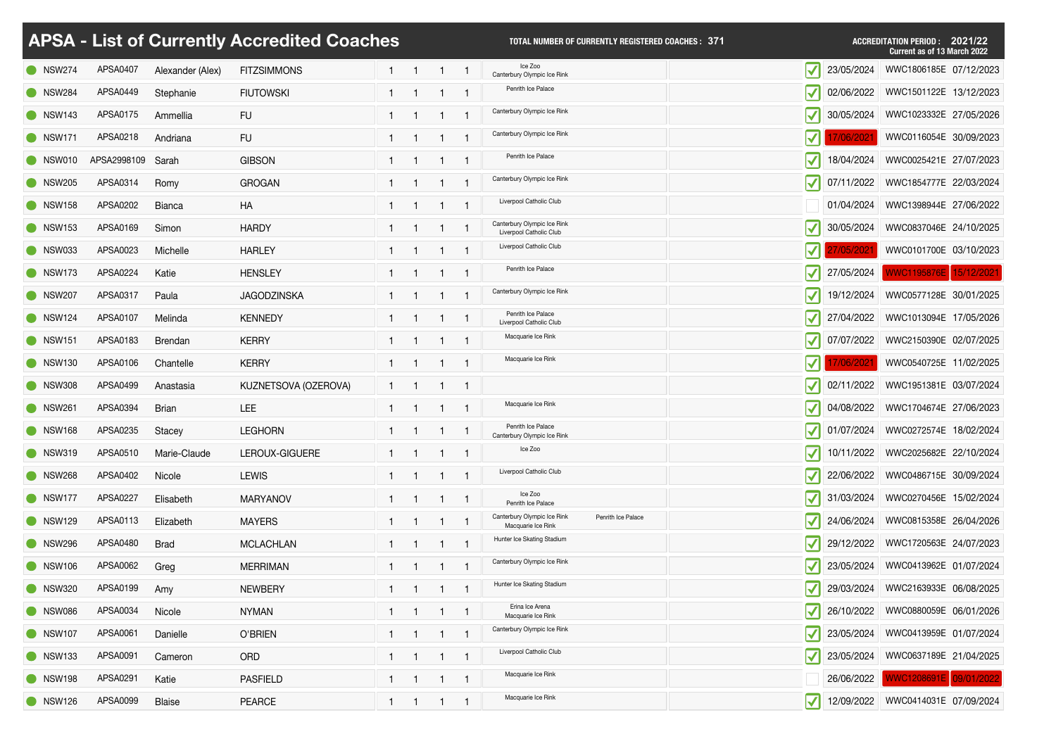|                  |                 |                  | <b>APSA - List of Currently Accredited Coaches</b> |  |                | <b>TOTAL NUMBER OF CURRENTLY REGISTERED COACHES: 371</b>                |                                  |            | <b>ACCREDITATION PERIOD : 2021/22</b><br><b>Current as of 13 March 2022</b> |
|------------------|-----------------|------------------|----------------------------------------------------|--|----------------|-------------------------------------------------------------------------|----------------------------------|------------|-----------------------------------------------------------------------------|
| $\bullet$ NSW274 | <b>APSA0407</b> | Alexander (Alex) | <b>FITZSIMMONS</b>                                 |  |                | Ice Zoo<br>Canterbury Olympic Ice Rink                                  | $\blacktriangledown$             | 23/05/2024 | WWC1806185E 07/12/2023                                                      |
| NSW284           | APSA0449        | Stephanie        | <b>FIUTOWSKI</b>                                   |  |                | Penrith Ice Palace                                                      | $\blacktriangledown$             | 02/06/2022 | WWC1501122E 13/12/2023                                                      |
| <b>O</b> NSW143  | APSA0175        | Ammellia         | <b>FU</b>                                          |  |                | Canterbury Olympic Ice Rink                                             | $\blacktriangledown$             | 30/05/2024 | WWC1023332E 27/05/2026                                                      |
| $\bullet$ NSW171 | APSA0218        | Andriana         | <b>FU</b>                                          |  |                | Canterbury Olympic Ice Rink                                             |                                  |            | WWC0116054E 30/09/2023                                                      |
| $\bullet$ NSW010 | APSA2998109     | Sarah            | <b>GIBSON</b>                                      |  |                | Penrith Ice Palace                                                      |                                  | 18/04/2024 | WWC0025421E 27/07/2023                                                      |
| $\bullet$ NSW205 | APSA0314        | Romy             | <b>GROGAN</b>                                      |  |                | Canterbury Olympic Ice Rink                                             | $\blacktriangledown$             | 07/11/2022 | WWC1854777E 22/03/2024                                                      |
| $\bullet$ NSW158 | APSA0202        | <b>Bianca</b>    | <b>HA</b>                                          |  |                | Liverpool Catholic Club                                                 |                                  | 01/04/2024 | WWC1398944E 27/06/2022                                                      |
| <b>O</b> NSW153  | APSA0169        | Simon            | <b>HARDY</b>                                       |  |                | Canterbury Olympic Ice Rink<br>Liverpool Catholic Club                  | $\vert\blacktriangledown\vert$   | 30/05/2024 | WWC0837046E 24/10/2025                                                      |
| NSW033           | APSA0023        | <b>Michelle</b>  | <b>HARLEY</b>                                      |  |                | Liverpool Catholic Club                                                 |                                  |            | WWC0101700E 03/10/2023                                                      |
| <b>O</b> NSW173  | APSA0224        | Katie            | <b>HENSLEY</b>                                     |  |                | Penrith Ice Palace                                                      | $\blacktriangledown$             | 27/05/2024 | WWC1195876E 15/12/2021                                                      |
| <b>NSW207</b>    | APSA0317        | Paula            | <b>JAGODZINSKA</b>                                 |  |                | Canterbury Olympic Ice Rink                                             | $\blacktriangledown$             | 19/12/2024 | WWC0577128E 30/01/2025                                                      |
| $\bullet$ NSW124 | APSA0107        | Melinda          | <b>KENNEDY</b>                                     |  |                | Penrith Ice Palace<br>Liverpool Catholic Club                           | $ \blacktriangledown $           | 27/04/2022 | WWC1013094E 17/05/2026                                                      |
| <b>O</b> NSW151  | APSA0183        | <b>Brendan</b>   | <b>KERRY</b>                                       |  |                | Macquarie Ice Rink                                                      | $\blacktriangledown$             | 07/07/2022 | WWC2150390E 02/07/2025                                                      |
| <b>O</b> NSW130  | APSA0106        | Chantelle        | <b>KERRY</b>                                       |  |                | Macquarie Ice Rink                                                      | $ \boldsymbol{\mathcal{N}} $     |            | WWC0540725E 11/02/2025                                                      |
| NSW308           | APSA0499        | Anastasia        | KUZNETSOVA (OZEROVA)                               |  |                |                                                                         | $\blacktriangledown$             | 02/11/2022 | WWC1951381E 03/07/2024                                                      |
| <b>NSW261</b>    | APSA0394        | <b>Brian</b>     | <b>LEE</b>                                         |  |                | Macquarie Ice Rink                                                      |                                  |            | 04/08/2022   WWC1704674E 27/06/2023                                         |
| <b>O</b> NSW168  | APSA0235        | Stacey           | <b>LEGHORN</b>                                     |  |                | Penrith Ice Palace<br>Canterbury Olympic Ice Rink                       | $\blacktriangledown$             | 01/07/2024 | WWC0272574E 18/02/2024                                                      |
| NSW319           | APSA0510        | Marie-Claude     | LEROUX-GIGUERE                                     |  |                | Ice Zoo                                                                 | $\vert \blacktriangledown \vert$ | 10/11/2022 | WWC2025682E 22/10/2024                                                      |
| <b>NSW268</b>    | APSA0402        | Nicole           | <b>LEWIS</b>                                       |  |                | Liverpool Catholic Club                                                 | $ \blacktriangledown $           | 22/06/2022 | WWC0486715E 30/09/2024                                                      |
| $\bullet$ NSW177 | APSA0227        | Elisabeth        | <b>MARYANOV</b>                                    |  |                | Ice Zoo<br>Penrith Ice Palace                                           | $ \blacktriangledown $           | 31/03/2024 | WWC0270456E 15/02/2024                                                      |
| <b>O</b> NSW129  | APSA0113        | Elizabeth        | <b>MAYERS</b>                                      |  |                | Canterbury Olympic Ice Rink<br>Penrith Ice Palace<br>Macquarie Ice Rink |                                  | 24/06/2024 | WWC0815358E 26/04/2026                                                      |
| NSW296           | APSA0480        | <b>Brad</b>      | <b>MCLACHLAN</b>                                   |  |                | Hunter Ice Skating Stadium                                              | $ \blacktriangledown $           |            | 29/12/2022   WWC1720563E 24/07/2023                                         |
| <b>NSW106</b>    | APSA0062        | Greg             | <b>MERRIMAN</b>                                    |  |                | Canterbury Olympic Ice Rink                                             | $\blacktriangledown$             | 23/05/2024 | WWC0413962E 01/07/2024                                                      |
| SW320            | APSA0199        | Amy              | <b>NEWBERY</b>                                     |  |                | Hunter Ice Skating Stadium                                              | $ \blacktriangledown $           | 29/03/2024 | WWC2163933E 06/08/2025                                                      |
| NSW086           | APSA0034        | Nicole           | <b>NYMAN</b>                                       |  | $\overline{1}$ | Erina Ice Arena<br>Macquarie Ice Rink                                   | $ \blacktriangledown $           |            | 26/10/2022 WWC0880059E 06/01/2026                                           |
| NSW107           | APSA0061        | Danielle         | O'BRIEN                                            |  |                | Canterbury Olympic Ice Rink                                             | $ \blacktriangledown $           | 23/05/2024 | WWC0413959E 01/07/2024                                                      |
| <b>NSW133</b>    | APSA0091        | Cameron          | <b>ORD</b>                                         |  |                | Liverpool Catholic Club                                                 | $ \blacktriangledown $           | 23/05/2024 | WWC0637189E 21/04/2025                                                      |
| NSW198           | APSA0291        | Katie            | <b>PASFIELD</b>                                    |  | 1 1 1 1        | Macquarie Ice Rink                                                      |                                  |            | 26/06/2022   WWC1208691E 09/01/2022                                         |
| • NSW126         | APSA0099        | <b>Blaise</b>    | <b>PEARCE</b>                                      |  |                | Macquarie Ice Rink                                                      |                                  |            | 12/09/2022   WWC0414031E 07/09/2024                                         |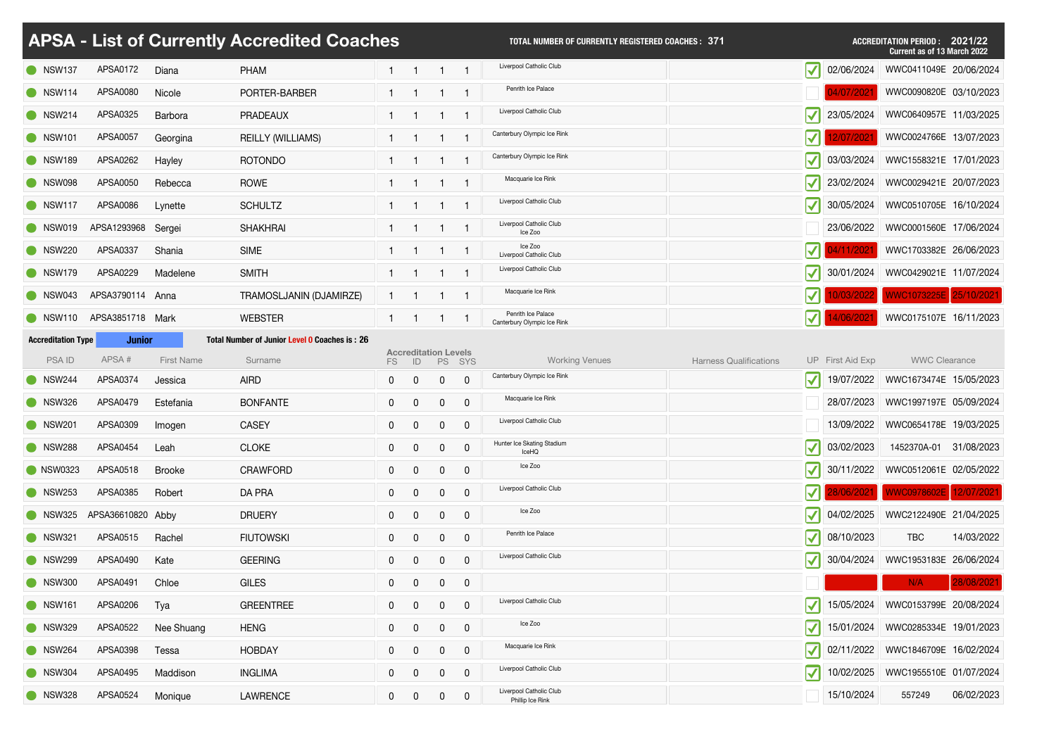|                           |                          |                   | <b>APSA - List of Currently Accredited Coaches</b> |              |                                   |                  |                | <b>TOTAL NUMBER OF CURRENTLY REGISTERED COACHES: 371</b> |                                  |                  | <b>ACCREDITATION PERIOD: 2021/22</b><br><b>Current as of 13 March 2022</b> |            |
|---------------------------|--------------------------|-------------------|----------------------------------------------------|--------------|-----------------------------------|------------------|----------------|----------------------------------------------------------|----------------------------------|------------------|----------------------------------------------------------------------------|------------|
| SW137                     | APSA0172                 | Diana             | <b>PHAM</b>                                        |              |                                   |                  |                | Liverpool Catholic Club                                  | $\sqrt{}$                        | 02/06/2024       | WWC0411049E 20/06/2024                                                     |            |
| $\bullet$ NSW114          | APSA0080                 | Nicole            | PORTER-BARBER                                      |              |                                   |                  |                | Penrith Ice Palace                                       |                                  |                  | WWC0090820E 03/10/2023                                                     |            |
| • NSW214                  | APSA0325                 | Barbora           | <b>PRADEAUX</b>                                    |              |                                   |                  |                | Liverpool Catholic Club                                  | $\blacktriangledown$             | 23/05/2024       | WWC0640957E 11/03/2025                                                     |            |
| <b>O</b> NSW101           | APSA0057                 | Georgina          | <b>REILLY (WILLIAMS)</b>                           |              |                                   |                  |                | Canterbury Olympic Ice Rink                              | $ \blacktriangledown $           |                  | WWC0024766E 13/07/2023                                                     |            |
| <b>NSW189</b>             | APSA0262                 | Hayley            | <b>ROTONDO</b>                                     |              |                                   |                  |                | Canterbury Olympic Ice Rink                              | $\blacktriangledown$             | 03/03/2024       | WWC1558321E 17/01/2023                                                     |            |
| SW098                     | APSA0050                 | Rebecca           | <b>ROWE</b>                                        |              |                                   |                  |                | Macquarie Ice Rink                                       | $\blacktriangledown$             | 23/02/2024       | WWC0029421E 20/07/2023                                                     |            |
| $\bullet$ NSW117          | APSA0086                 | Lynette           | <b>SCHULTZ</b>                                     |              |                                   |                  |                | Liverpool Catholic Club                                  | $\blacktriangledown$             | 30/05/2024       | WWC0510705E 16/10/2024                                                     |            |
| SW019                     | APSA1293968 Sergei       |                   | <b>SHAKHRAI</b>                                    |              |                                   |                  |                | Liverpool Catholic Club<br>Ice Zoo                       |                                  | 23/06/2022       | WWC0001560E 17/06/2024                                                     |            |
| <b>NSW220</b>             | APSA0337                 | Shania            | <b>SIME</b>                                        |              |                                   |                  |                | Ice Zoo<br>Liverpool Catholic Club                       | $ \boldsymbol{\mathcal{N}} $     | 4/11/202         | WWC1703382E 26/06/2023                                                     |            |
| NSW179                    | APSA0229                 | Madelene          | <b>SMITH</b>                                       |              |                                   | $\mathbf{1}$     |                | Liverpool Catholic Club                                  | $ \boldsymbol{\mathcal{N}} $     | 30/01/2024       | WWC0429021E 11/07/2024                                                     |            |
| SW043                     | APSA3790114 Anna         |                   | TRAMOSLJANIN (DJAMIRZE)                            |              |                                   |                  |                | Macquarie Ice Rink                                       |                                  |                  | WWC1073225E 25/10/2021                                                     |            |
| $\bullet$ NSW110          | APSA3851718 Mark         |                   | <b>WEBSTER</b>                                     |              |                                   |                  |                | Penrith Ice Palace<br>Canterbury Olympic Ice Rink        | $ \blacktriangledown $           | 4/06/2021        | WWC0175107E 16/11/2023                                                     |            |
| <b>Accreditation Type</b> | <b>Junior</b>            |                   | Total Number of Junior Level 0 Coaches is: 26      |              |                                   |                  |                |                                                          |                                  |                  |                                                                            |            |
| <b>PSAID</b>              | APSA#                    | <b>First Name</b> | Surname                                            | FS           | <b>Accreditation Levels</b><br>ID |                  | PS SYS         | <b>Working Venues</b>                                    | <b>Harness Qualifications</b>    | UP First Aid Exp | <b>WWC Clearance</b>                                                       |            |
| $\bullet$ NSW244          | APSA0374                 | Jessica           | <b>AIRD</b>                                        |              | $\overline{0}$                    | $\overline{0}$   | $\overline{0}$ | Canterbury Olympic Ice Rink                              |                                  |                  | 19/07/2022   WWC1673474E 15/05/2023                                        |            |
| $\bullet$ NSW326          | APSA0479                 | Estefania         | <b>BONFANTE</b>                                    | $\mathbf{0}$ | $\overline{0}$                    | $\boldsymbol{0}$ | 0              | Macquarie Ice Rink                                       |                                  | 28/07/2023       | WWC1997197E 05/09/2024                                                     |            |
| <b>NSW201</b>             | APSA0309                 | Imogen            | <b>CASEY</b>                                       | 0            | $\Omega$                          | $\overline{0}$   | $\mathbf 0$    | Liverpool Catholic Club                                  |                                  | 13/09/2022       | WWC0654178E 19/03/2025                                                     |            |
| <b>NSW288</b>             | APSA0454                 | Leah              | <b>CLOKE</b>                                       | $\mathbf{0}$ | $\overline{0}$                    | $\overline{0}$   | $\mathbf 0$    | Hunter Ice Skating Stadium<br><b>IceHQ</b>               | $ \blacktriangledown $           | 03/02/2023       | 1452370A-01                                                                | 31/08/2023 |
| <b>NSW0323</b>            | APSA0518                 | <b>Brooke</b>     | <b>CRAWFORD</b>                                    | $\mathbf{0}$ | $\Omega$                          | $\overline{0}$   | $\mathbf 0$    | Ice Zoo                                                  |                                  |                  | 30/11/2022   WWC0512061E 02/05/2022                                        |            |
| $\bullet$ NSW253          | APSA0385                 | Robert            | DA PRA                                             | $\mathbf{0}$ | $\overline{0}$                    | $\overline{0}$   | $\mathbf 0$    | Liverpool Catholic Club                                  |                                  | 28/06/2021       | WWC0978602E 12/07/2021                                                     |            |
|                           | NSW325 APSA36610820 Abby |                   | <b>DRUERY</b>                                      | $\mathbf{0}$ | 0                                 | $\mathbf 0$      | $\mathbf 0$    | Ice Zoo                                                  |                                  | 04/02/2025       | WWC2122490E 21/04/2025                                                     |            |
| <b>NSW321</b>             | APSA0515                 | Rachel            | <b>FIUTOWSKI</b>                                   | $\mathbf{0}$ | $\Omega$                          | $\overline{0}$   | $\mathbf 0$    | Penrith Ice Palace                                       | $ \boldsymbol{\mathcal{N}} $     | 08/10/2023       | <b>TBC</b>                                                                 | 14/03/2022 |
| <b>NSW299</b>             | APSA0490                 | Kate              | <b>GEERING</b>                                     | $\mathbf{0}$ | $\overline{0}$                    | $\overline{0}$   | $\mathsf{O}$   | Liverpool Catholic Club                                  | $\vert \mathcal{V} \vert$        | 30/04/2024       | WWC1953183E 26/06/2024                                                     |            |
| NSW300                    | APSA0491                 | Chloe             | <b>GILES</b>                                       | $\mathbf{0}$ | $\overline{0}$                    | $\overline{0}$   | $\mathbf 0$    |                                                          |                                  |                  | N/A                                                                        | 28/08/2021 |
| <b>O</b> NSW161           | APSA0206                 | Tya               | <b>GREENTREE</b>                                   | $\mathbf{0}$ | $\overline{0}$                    | $\overline{0}$   | $\mathbf 0$    | Liverpool Catholic Club                                  |                                  | 15/05/2024       | WWC0153799E 20/08/2024                                                     |            |
| NSW329                    | APSA0522                 | Nee Shuang        | <b>HENG</b>                                        | $\mathbf{0}$ | $\overline{0}$                    | $\mathbf 0$      | $\mathbf 0$    | Ice Zoo                                                  | $\vert \blacktriangledown \vert$ | 15/01/2024       | WWC0285334E 19/01/2023                                                     |            |
| NSW264                    | APSA0398                 | Tessa             | <b>HOBDAY</b>                                      | $\mathbf{0}$ | $\overline{0}$                    | $\overline{0}$   | $\mathbf 0$    | Macquarie Ice Rink                                       | $ \blacktriangledown $           |                  | 02/11/2022   WWC1846709E 16/02/2024                                        |            |
| SW304                     | APSA0495                 | Maddison          | <b>INGLIMA</b>                                     | $\mathbf 0$  | $\overline{0}$                    | $\Omega$         | $\mathbf 0$    | Liverpool Catholic Club                                  | $ \boldsymbol{\mathcal{N}} $     |                  | 10/02/2025   WWC1955510E 01/07/2024                                        |            |
| SW328                     | APSA0524                 | Monique           | <b>LAWRENCE</b>                                    | $\mathbf{0}$ | $\overline{0}$                    | $\mathbf 0$      | $\mathsf{O}$   | Liverpool Catholic Club<br>Phillip Ice Rink              |                                  | 15/10/2024       | 557249                                                                     | 06/02/2023 |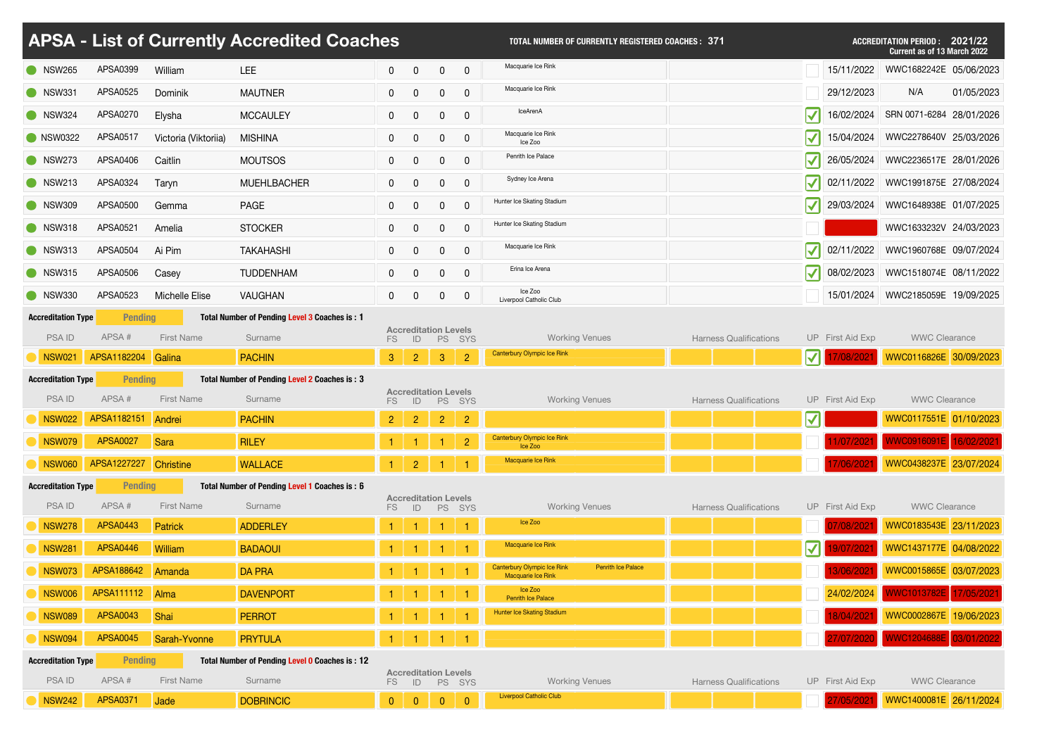|                                     |                                   |                       | APSA - List of Currently Accredited Coaches               |                |                                   |                  |                | <b>TOTAL NUMBER OF CURRENTLY REGISTERED COACHES: 371</b>        |                               |                              |                  | <b>ACCREDITATION PERIOD :</b><br>2021/22<br><b>Current as of 13 March 2022</b> |
|-------------------------------------|-----------------------------------|-----------------------|-----------------------------------------------------------|----------------|-----------------------------------|------------------|----------------|-----------------------------------------------------------------|-------------------------------|------------------------------|------------------|--------------------------------------------------------------------------------|
| <b>NSW265</b>                       | APSA0399                          | William               | <b>LEE</b>                                                | $\mathbf 0$    | $\overline{0}$                    | $\mathbf 0$      | $\mathbf 0$    | Macquarie Ice Rink                                              |                               |                              | 15/11/2022       | WWC1682242E 05/06/2023                                                         |
| $\bigcirc$ NSW331                   | APSA0525                          | Dominik               | <b>MAUTNER</b>                                            | $\mathbf{0}$   |                                   | $\overline{0}$   | $\overline{0}$ | Macquarie Ice Rink                                              |                               |                              | 29/12/2023       | 01/05/2023<br>N/A                                                              |
| SW324                               | APSA0270                          | Elysha                | <b>MCCAULEY</b>                                           | $\mathbf 0$    | $\overline{0}$                    | $\boldsymbol{0}$ | $\mathbf 0$    | <b>IceArenA</b>                                                 |                               | $ \blacktriangledown $       | 16/02/2024       | SRN 0071-6284 28/01/2026                                                       |
| <b>O</b> NSW0322                    | APSA0517                          | Victoria (Viktoriia)  | <b>MISHINA</b>                                            | $\mathbf{0}$   | $\overline{0}$                    | $\mathbf 0$      | $\mathbf 0$    | Macquarie Ice Rink<br>Ice Zoo                                   |                               | $\vert \checkmark \vert$     | 15/04/2024       | WWC2278640V 25/03/2026                                                         |
| <b>NSW273</b>                       | APSA0406                          | Caitlin               | <b>MOUTSOS</b>                                            | $\mathbf{0}$   | $\overline{0}$                    | $\mathbf 0$      | $\overline{0}$ | Penrith Ice Palace                                              |                               | $\vert \checkmark \vert$     | 26/05/2024       | WWC2236517E 28/01/2026                                                         |
| <b>NSW213</b>                       | APSA0324                          | Taryn                 | <b>MUEHLBACHER</b>                                        | $\mathbf 0$    | $\overline{0}$                    | $\mathbf 0$      | $\overline{0}$ | Sydney Ice Arena                                                |                               | $ \boldsymbol{\checkmark} $  | 02/11/2022       | WWC1991875E 27/08/2024                                                         |
| $\bullet$ NSW309                    | APSA0500                          | Gemma                 | <b>PAGE</b>                                               | $\mathbf{0}$   | $\overline{0}$                    | $\mathbf 0$      | $\mathbf 0$    | Hunter Ice Skating Stadium                                      |                               | $ \boldsymbol{\mathcal{N}} $ | 29/03/2024       | WWC1648938E 01/07/2025                                                         |
| NSW318                              | APSA0521                          | Amelia                | <b>STOCKER</b>                                            | $\mathbf 0$    | $\overline{0}$                    | $\overline{0}$   | $\mathbf 0$    | Hunter Ice Skating Stadium                                      |                               |                              |                  | WWC1633232V 24/03/2023                                                         |
| NSW313                              | APSA0504                          | Ai Pim                | <b>TAKAHASHI</b>                                          | $\mathbf 0$    | $\overline{0}$                    | $\mathbf 0$      | $\mathbf 0$    | Macquarie Ice Rink                                              |                               | $ \boldsymbol{\mathcal{N}} $ | 02/11/2022       | WWC1960768E 09/07/2024                                                         |
| <b>NSW315</b>                       | APSA0506                          | Casey                 | <b>TUDDENHAM</b>                                          | $\mathbf{0}$   | $\overline{0}$                    | $\mathbf 0$      | $\overline{0}$ | Erina Ice Arena                                                 |                               | $ \blacktriangledown $       | 08/02/2023       | WWC1518074E 08/11/2022                                                         |
| NSW330                              | APSA0523                          | <b>Michelle Elise</b> | <b>VAUGHAN</b>                                            | $\mathbf{0}$   | $\overline{0}$                    | $\overline{0}$   | $\overline{0}$ | Ice Zoo<br>Liverpool Catholic Club                              |                               |                              | 15/01/2024       | WWC2185059E 19/09/2025                                                         |
| <b>Accreditation Type</b>           | <b>Pending</b>                    |                       | Total Number of Pending Level 3 Coaches is: 1             |                |                                   |                  |                |                                                                 |                               |                              |                  |                                                                                |
| <b>PSAID</b>                        | APSA#                             | <b>First Name</b>     | Surname                                                   | FS             | <b>Accreditation Levels</b>       |                  | ID PS SYS      | <b>Working Venues</b>                                           | <b>Harness Qualifications</b> |                              | UP First Aid Exp | <b>WWC Clearance</b>                                                           |
| <b>NSW021</b>                       | APSA1182204 Galina                |                       | <b>PACHIN</b>                                             | 3 <sup>1</sup> | $\overline{2}$                    | $\mathbf{3}$     | $\overline{2}$ | Canterbury Olympic Ice Rink                                     |                               | $\vert \vert$                | 7/08/2021        | WWC0116826E 30/09/2023                                                         |
|                                     |                                   |                       |                                                           |                |                                   |                  |                |                                                                 |                               |                              |                  |                                                                                |
| <b>Accreditation Type</b>           | <b>Pending</b>                    |                       | Total Number of Pending Level 2 Coaches is: 3             |                |                                   |                  |                |                                                                 |                               |                              |                  |                                                                                |
| <b>PSAID</b>                        | APSA#                             | <b>First Name</b>     | Surname                                                   | FS.            | <b>Accreditation Levels</b><br>ID | <b>PS</b>        | SYS            | <b>Working Venues</b>                                           | <b>Harness Qualifications</b> |                              | UP First Aid Exp | <b>WWC Clearance</b>                                                           |
| <b>NSW022</b>                       | APSA1182151                       | Andrei                | <b>PACHIN</b>                                             | 2 <sup>7</sup> | $\overline{2}$                    | $\overline{2}$   | $\overline{2}$ |                                                                 |                               | $\vert \mathcal{V} \vert$    |                  | WWC0117551E 01/10/2023                                                         |
| <b>NSW079</b>                       | <b>APSA0027</b>                   | Sara                  | <b>RILEY</b>                                              |                |                                   |                  | $\overline{2}$ | <b>Canterbury Olympic Ice Rink</b><br>Ice Zoo                   |                               |                              | 11/07/2021       |                                                                                |
| NSW060                              | APSA1227227 Christine             |                       | <b>WALLACE</b>                                            |                | $\overline{2}$                    |                  |                | Macquarie Ice Rink                                              |                               |                              | 17/06/2021       | WWC0916091E 16/02/2021<br>WWC0438237E 23/07/2024                               |
| <b>Accreditation Type</b>           | <b>Pending</b>                    |                       | Total Number of Pending Level 1 Coaches is: 6             |                | <b>Accreditation Levels</b>       |                  |                |                                                                 |                               |                              |                  |                                                                                |
| <b>PSAID</b>                        | APSA#                             | <b>First Name</b>     | Surname                                                   | FS             | ID                                | <b>PS</b>        | SYS            | <b>Working Venues</b><br>Ice Zoo                                | <b>Harness Qualifications</b> |                              | UP First Aid Exp | <b>WWC Clearance</b>                                                           |
| <b>NSW278</b>                       | <b>APSA0443</b>                   | <b>Patrick</b>        | <b>ADDERLEY</b>                                           |                |                                   |                  |                | Macquarie Ice Rink                                              |                               |                              | 07/08/2021       | WWC0183543E 23/11/2023                                                         |
| <b>NSW281</b>                       | <b>APSA0446</b>                   | William               | <b>BADAOUI</b>                                            |                |                                   |                  |                | <b>Canterbury Olympic Ice Rink</b><br><b>Penrith Ice Palace</b> |                               | $\vert \mathcal{V} \vert$    | 9/07/202         | WWC1437177E 04/08/2022                                                         |
| <b>NSW073</b>                       | APSA188642                        | Amanda                | <b>DA PRA</b>                                             |                |                                   |                  |                | Macquarie Ice Rink<br>Ice Zoo                                   |                               |                              | 13/06/2021       | WWC0015865E 03/07/2023                                                         |
| <b>NSW006</b>                       | APSA111112                        | Alma                  | <b>DAVENPORT</b>                                          |                |                                   |                  |                | <b>Penrith Ice Palace</b><br>Hunter Ice Skating Stadium         |                               |                              | 24/02/2024       | WWC1013782E 17/05/2021                                                         |
| <b>NSW089</b>                       | <b>APSA0043</b>                   | Shai                  | <b>PERROT</b>                                             |                |                                   |                  |                |                                                                 |                               |                              | 18/04/2021       | WWC0002867E 19/06/2023                                                         |
| <b>NSW094</b>                       | <b>APSA0045</b><br><b>Pending</b> | Sarah-Yvonne          | <b>PRYTULA</b>                                            |                |                                   |                  |                |                                                                 |                               |                              | 27/07/2020       | WWC1204688E 03/01/2022                                                         |
| <b>Accreditation Type</b><br>PSA ID | APSA#                             | <b>First Name</b>     | Total Number of Pending Level 0 Coaches is: 12<br>Surname | <b>FS</b>      | <b>Accreditation Levels</b><br>ID | <b>PS</b>        | SYS            | <b>Working Venues</b>                                           | <b>Harness Qualifications</b> |                              | UP First Aid Exp | <b>WWC Clearance</b>                                                           |

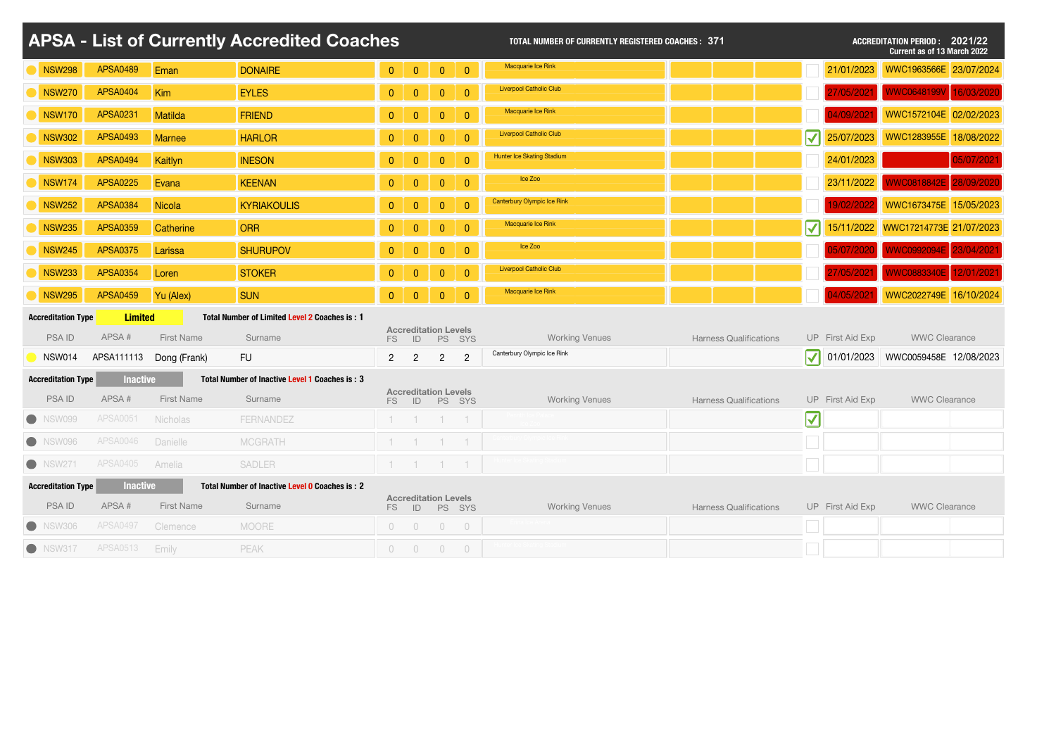|                           |                 |                         | <b>APSA - List of Currently Accredited Coaches</b> |                |                                   |                |                | <b>TOTAL NUMBER OF CURRENTLY REGISTERED COACHES: 371</b> |                               |                                  |                  | <b>ACCREDITATION PERIOD: 2021/22</b><br><b>Current as of 13 March 2022</b> |            |
|---------------------------|-----------------|-------------------------|----------------------------------------------------|----------------|-----------------------------------|----------------|----------------|----------------------------------------------------------|-------------------------------|----------------------------------|------------------|----------------------------------------------------------------------------|------------|
| <b>NSW298</b>             | <b>APSA0489</b> | Eman                    | <b>DONAIRE</b>                                     | $\overline{0}$ | $\mathbf{0}$                      | $\mathbf{0}$   | $\overline{0}$ | Macquarie Ice Rink                                       |                               |                                  | 21/01/2023       | WWC1963566E 23/07/2024                                                     |            |
| NSW270                    | <b>APSA0404</b> | Kim                     | <b>EYLES</b>                                       | $\overline{0}$ | $\overline{0}$                    | $\overline{0}$ | $\overline{0}$ | <b>Liverpool Catholic Club</b>                           |                               |                                  |                  | WWC0648199V                                                                | 16/03/2020 |
| <b>NSW170</b>             | <b>APSA0231</b> | Matilda                 | <b>FRIEND</b>                                      | $\overline{0}$ | $\overline{0}$                    | $\mathbf{0}$   | $\overline{0}$ | Macquarie Ice Rink                                       |                               |                                  |                  | WWC1572104E 02/02/2023                                                     |            |
| <b>NSW302</b>             | <b>APSA0493</b> | <b>Marnee</b>           | <b>HARLOR</b>                                      | $\overline{0}$ | $\overline{0}$                    | $\overline{0}$ | $\overline{0}$ | <b>Liverpool Catholic Club</b>                           |                               | $ \boldsymbol{\checkmark} $      | 25/07/2023       | WWC1283955E 18/08/2022                                                     |            |
| <b>NSW303</b>             | <b>APSA0494</b> | Kaitlyn                 | <b>INESON</b>                                      | $\overline{0}$ | $\overline{0}$                    | $\mathbf{0}$   | $\overline{0}$ | Hunter Ice Skating Stadium                               |                               |                                  | 24/01/2023       |                                                                            | 05/07/2021 |
| <b>NSW174</b>             | <b>APSA0225</b> | Evana                   | <b>KEENAN</b>                                      | $\overline{0}$ | $\mathbf{0}$                      | $\mathbf{0}$   | $\overline{0}$ | Ice Zoo                                                  |                               |                                  | 23/11/2022       | VWC0818842E 28/09/2020                                                     |            |
| <b>NSW252</b>             | <b>APSA0384</b> | <b>Nicola</b>           | <b>KYRIAKOULIS</b>                                 | $\overline{0}$ | $\overline{0}$                    | $\overline{0}$ | $\overline{0}$ | <b>Canterbury Olympic Ice Rink</b>                       |                               |                                  | 19/02/2022       | WWC1673475E 15/05/2023                                                     |            |
| <b>NSW235</b>             | <b>APSA0359</b> | Catherine               | <b>ORR</b>                                         | $\overline{0}$ | $\overline{0}$                    | $\mathbf{0}$   | $\overline{0}$ | Macquarie Ice Rink                                       |                               | $ \blacktriangledown $           |                  | 15/11/2022    WWC17214773E    21/07/2023                                   |            |
| <b>NSW245</b>             | <b>APSA0375</b> | Larissa                 | <b>SHURUPOV</b>                                    | $\overline{0}$ | $\overline{0}$                    | $\overline{0}$ | $\overline{0}$ | Ice Zoo                                                  |                               |                                  | 15/07/202        | WWC0992094E                                                                | 23/04/2021 |
| <b>NSW233</b>             | <b>APSA0354</b> | Loren                   | <b>STOKER</b>                                      | $\overline{0}$ | $\overline{0}$                    | $\mathbf{0}$   | $\overline{0}$ | <b>Liverpool Catholic Club</b>                           |                               |                                  |                  | <b>WWC0883340E</b>                                                         | 12/01/2021 |
| <b>NSW295</b>             | <b>APSA0459</b> | Yu (Alex)               | <b>SUN</b>                                         | $\overline{0}$ | $\overline{0}$                    | $\overline{0}$ | $\overline{0}$ | Macquarie Ice Rink                                       |                               |                                  | 4/05/202         | WWC2022749E 16/10/2024                                                     |            |
| <b>Accreditation Type</b> | <b>Limited</b>  |                         | Total Number of Limited Level 2 Coaches is: 1      |                |                                   |                |                |                                                          |                               |                                  |                  |                                                                            |            |
| <b>PSAID</b>              | APSA#           | <b>First Name</b>       | Surname                                            | FS             | <b>Accreditation Levels</b><br>ID | <b>PS</b>      | SYS            | <b>Working Venues</b>                                    | <b>Harness Qualifications</b> |                                  | UP First Aid Exp | <b>WWC Clearance</b>                                                       |            |
| <b>NSW014</b>             |                 | APSA111113 Dong (Frank) | <b>FU</b>                                          | $\overline{2}$ | $\overline{2}$                    | $\overline{2}$ | $\overline{2}$ | Canterbury Olympic Ice Rink                              |                               | $\blacktriangledown$             | 01/01/2023       | WWC0059458E 12/08/2023                                                     |            |
| <b>Accreditation Type</b> | <b>Inactive</b> |                         | Total Number of Inactive Level 1 Coaches is: 3     |                |                                   |                |                |                                                          |                               |                                  |                  |                                                                            |            |
| <b>PSAID</b>              | APSA#           | <b>First Name</b>       | Surname                                            | FS             | <b>Accreditation Levels</b><br>ID |                | PS SYS         | <b>Working Venues</b>                                    | <b>Harness Qualifications</b> |                                  | UP First Aid Exp | <b>WWC Clearance</b>                                                       |            |
| NSW099                    | <b>APSA0051</b> | <b>Nicholas</b>         | <b>FERNANDEZ</b>                                   |                |                                   |                |                |                                                          |                               | $\vert \blacktriangledown \vert$ |                  |                                                                            |            |
| <b>NSW096</b>             | <b>APSA0046</b> | Danielle                | <b>MCGRATH</b>                                     |                |                                   |                |                |                                                          |                               |                                  |                  |                                                                            |            |
| <b>O</b> NSW271           | <b>APSA0405</b> | Amelia                  | <b>SADLER</b>                                      |                | $-1$                              | $-1$           |                |                                                          |                               |                                  |                  |                                                                            |            |
| <b>Accreditation Type</b> | <b>Inactive</b> |                         | Total Number of Inactive Level 0 Coaches is: 2     |                |                                   |                |                |                                                          |                               |                                  |                  |                                                                            |            |
| <b>PSAID</b>              | APSA#           | <b>First Name</b>       | Surname                                            | FS             | <b>Accreditation Levels</b><br>ID |                | PS SYS         | <b>Working Venues</b>                                    | <b>Harness Qualifications</b> |                                  | UP First Aid Exp | <b>WWC Clearance</b>                                                       |            |
| NSW306                    | <b>APSA0497</b> | Clemence                | <b>MOORE</b>                                       | $\bigcirc$     | $\overline{0}$                    | $\overline{0}$ | $\overline{0}$ |                                                          |                               |                                  |                  |                                                                            |            |
| • NSW317                  | APSA0513        | Emily                   | <b>PEAK</b>                                        | $\overline{0}$ | $\overline{0}$                    | $\overline{0}$ | $\overline{0}$ |                                                          |                               |                                  |                  |                                                                            |            |

| <b>Harness Qualifications</b> | UP First Aid Exp | <b>WWC Clearance</b>                |  |
|-------------------------------|------------------|-------------------------------------|--|
|                               |                  | ◯ 01/01/2023 WWC0059458E 12/08/2023 |  |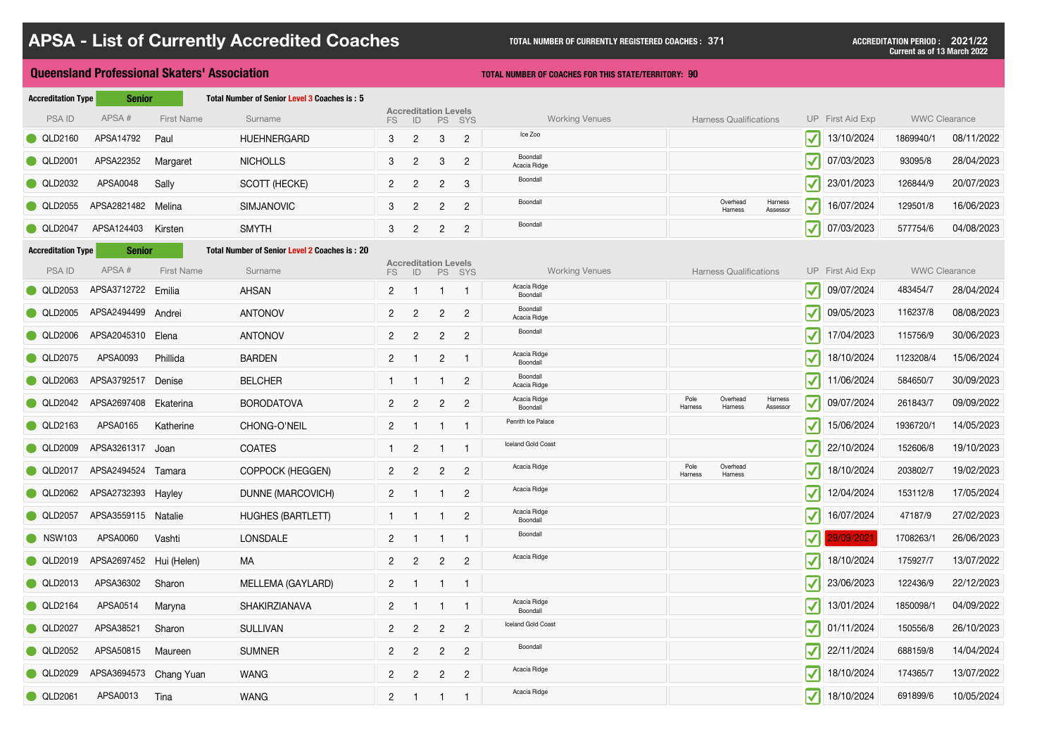|           |                                                        | Total Number of Senior Level 3 Coaches is: 5                                                                                                                                                                                                                                                         |                                                                                                                  |                |                 |                |                                                                             |                                                               |                                                             |            |                                                                                                                                                                                                                                                                                                                                                                                                                                                                                                                                                                                                                                                                                                                                                                                                                                       |            |
|-----------|--------------------------------------------------------|------------------------------------------------------------------------------------------------------------------------------------------------------------------------------------------------------------------------------------------------------------------------------------------------------|------------------------------------------------------------------------------------------------------------------|----------------|-----------------|----------------|-----------------------------------------------------------------------------|---------------------------------------------------------------|-------------------------------------------------------------|------------|---------------------------------------------------------------------------------------------------------------------------------------------------------------------------------------------------------------------------------------------------------------------------------------------------------------------------------------------------------------------------------------------------------------------------------------------------------------------------------------------------------------------------------------------------------------------------------------------------------------------------------------------------------------------------------------------------------------------------------------------------------------------------------------------------------------------------------------|------------|
| APSA#     |                                                        | Surname                                                                                                                                                                                                                                                                                              | FS                                                                                                               | ID             | <b>PS</b>       |                | <b>Working Venues</b>                                                       | <b>Harness Qualifications</b>                                 |                                                             |            | <b>WWC Clearance</b>                                                                                                                                                                                                                                                                                                                                                                                                                                                                                                                                                                                                                                                                                                                                                                                                                  |            |
| APSA14792 | Paul                                                   | <b>HUEHNERGARD</b>                                                                                                                                                                                                                                                                                   | $\mathbf{3}$                                                                                                     | $\overline{2}$ | 3               | $\overline{2}$ | Ice Zoo                                                                     |                                                               |                                                             | 13/10/2024 | 1869940/1                                                                                                                                                                                                                                                                                                                                                                                                                                                                                                                                                                                                                                                                                                                                                                                                                             | 08/11/2022 |
| APSA22352 | Margaret                                               | <b>NICHOLLS</b>                                                                                                                                                                                                                                                                                      | $\mathbf{3}$                                                                                                     | $\overline{2}$ | $3\phantom{.0}$ | $\overline{2}$ | Boondall<br>Acacia Ridge                                                    |                                                               |                                                             | 07/03/2023 | 93095/8                                                                                                                                                                                                                                                                                                                                                                                                                                                                                                                                                                                                                                                                                                                                                                                                                               | 28/04/2023 |
| APSA0048  | Sally                                                  | <b>SCOTT (HECKE)</b>                                                                                                                                                                                                                                                                                 | $2^{\circ}$                                                                                                      | $\overline{2}$ | $\overline{2}$  | 3              | Boondall                                                                    |                                                               |                                                             | 23/01/2023 | 126844/9                                                                                                                                                                                                                                                                                                                                                                                                                                                                                                                                                                                                                                                                                                                                                                                                                              | 20/07/2023 |
|           |                                                        | <b>SIMJANOVIC</b>                                                                                                                                                                                                                                                                                    | $\mathbf{3}$                                                                                                     | $\overline{2}$ | $\overline{2}$  | $\overline{2}$ | Boondall                                                                    | Overhead<br>Harness<br>Assessor<br>Harness                    |                                                             | 16/07/2024 | 129501/8                                                                                                                                                                                                                                                                                                                                                                                                                                                                                                                                                                                                                                                                                                                                                                                                                              | 16/06/2023 |
|           | Kirsten                                                | <b>SMYTH</b>                                                                                                                                                                                                                                                                                         | $\mathbf{3}$                                                                                                     | $\overline{2}$ | $\overline{2}$  | $\overline{2}$ | Boondall                                                                    |                                                               |                                                             | 07/03/2023 | 577754/6                                                                                                                                                                                                                                                                                                                                                                                                                                                                                                                                                                                                                                                                                                                                                                                                                              | 04/08/2023 |
|           |                                                        | <b>Total Number of Senior Level 2 Coaches is: 20</b>                                                                                                                                                                                                                                                 |                                                                                                                  |                |                 |                |                                                                             |                                                               |                                                             |            |                                                                                                                                                                                                                                                                                                                                                                                                                                                                                                                                                                                                                                                                                                                                                                                                                                       |            |
| APSA#     |                                                        | Surname                                                                                                                                                                                                                                                                                              | FS                                                                                                               | ID             |                 |                | <b>Working Venues</b>                                                       | <b>Harness Qualifications</b>                                 |                                                             |            | <b>WWC Clearance</b>                                                                                                                                                                                                                                                                                                                                                                                                                                                                                                                                                                                                                                                                                                                                                                                                                  |            |
|           |                                                        | <b>AHSAN</b>                                                                                                                                                                                                                                                                                         | $2^{\circ}$                                                                                                      |                |                 |                | Acacia Ridge<br>Boondall                                                    |                                                               |                                                             | 09/07/2024 | 483454/7                                                                                                                                                                                                                                                                                                                                                                                                                                                                                                                                                                                                                                                                                                                                                                                                                              | 28/04/2024 |
|           |                                                        | <b>ANTONOV</b>                                                                                                                                                                                                                                                                                       | $2^{\circ}$                                                                                                      | $\overline{2}$ | $\overline{2}$  | $\overline{2}$ | Boondall<br>Acacia Ridge                                                    |                                                               |                                                             | 09/05/2023 | 116237/8                                                                                                                                                                                                                                                                                                                                                                                                                                                                                                                                                                                                                                                                                                                                                                                                                              | 08/08/2023 |
|           |                                                        | <b>ANTONOV</b>                                                                                                                                                                                                                                                                                       | $2^{\circ}$                                                                                                      | $\overline{2}$ | $2^{\circ}$     | $\overline{2}$ | Boondall                                                                    |                                                               |                                                             | 17/04/2023 | 115756/9                                                                                                                                                                                                                                                                                                                                                                                                                                                                                                                                                                                                                                                                                                                                                                                                                              | 30/06/2023 |
| APSA0093  | Phillida                                               | <b>BARDEN</b>                                                                                                                                                                                                                                                                                        | 2 <sup>1</sup>                                                                                                   |                | $\overline{2}$  |                | Acacia Ridge<br>Boondall                                                    |                                                               |                                                             | 18/10/2024 | 1123208/4                                                                                                                                                                                                                                                                                                                                                                                                                                                                                                                                                                                                                                                                                                                                                                                                                             | 15/06/2024 |
|           |                                                        | <b>BELCHER</b>                                                                                                                                                                                                                                                                                       |                                                                                                                  |                |                 | $\overline{2}$ | Boondall<br>Acacia Ridge                                                    |                                                               |                                                             | 11/06/2024 | 584650/7                                                                                                                                                                                                                                                                                                                                                                                                                                                                                                                                                                                                                                                                                                                                                                                                                              | 30/09/2023 |
|           |                                                        | <b>BORODATOVA</b>                                                                                                                                                                                                                                                                                    | $2^{\circ}$                                                                                                      | $\overline{2}$ | $\overline{2}$  | $\overline{2}$ | Acacia Ridge<br>Boondall                                                    | Pole<br>Overhead<br>Harness<br>Harness<br>Assessor<br>Harness |                                                             | 09/07/2024 | 261843/7                                                                                                                                                                                                                                                                                                                                                                                                                                                                                                                                                                                                                                                                                                                                                                                                                              | 09/09/2022 |
| APSA0165  | Katherine                                              | CHONG-O'NEIL                                                                                                                                                                                                                                                                                         | $2^{\circ}$                                                                                                      |                |                 |                | Penrith Ice Palace                                                          |                                                               |                                                             | 15/06/2024 | 1936720/1                                                                                                                                                                                                                                                                                                                                                                                                                                                                                                                                                                                                                                                                                                                                                                                                                             | 14/05/2023 |
|           |                                                        | <b>COATES</b>                                                                                                                                                                                                                                                                                        |                                                                                                                  | $\overline{2}$ |                 |                | Iceland Gold Coast                                                          |                                                               |                                                             | 22/10/2024 | 152606/8                                                                                                                                                                                                                                                                                                                                                                                                                                                                                                                                                                                                                                                                                                                                                                                                                              | 19/10/2023 |
|           |                                                        | <b>COPPOCK (HEGGEN)</b>                                                                                                                                                                                                                                                                              | 2 <sup>2</sup>                                                                                                   | $\overline{2}$ | $2^{\circ}$     | $\overline{2}$ | Acacia Ridge                                                                | Pole<br>Overhead<br>Harness<br>Harness                        |                                                             | 18/10/2024 | 203802/7                                                                                                                                                                                                                                                                                                                                                                                                                                                                                                                                                                                                                                                                                                                                                                                                                              | 19/02/2023 |
|           |                                                        | <b>DUNNE (MARCOVICH)</b>                                                                                                                                                                                                                                                                             | 2 <sup>1</sup>                                                                                                   |                |                 | $2^{\circ}$    | Acacia Ridge                                                                |                                                               |                                                             | 12/04/2024 | 153112/8                                                                                                                                                                                                                                                                                                                                                                                                                                                                                                                                                                                                                                                                                                                                                                                                                              | 17/05/2024 |
|           |                                                        | <b>HUGHES (BARTLETT)</b>                                                                                                                                                                                                                                                                             |                                                                                                                  | -1             | $\mathbf 1$     | $2^{\circ}$    | Acacia Ridge<br>Boondall                                                    |                                                               |                                                             | 16/07/2024 | 47187/9                                                                                                                                                                                                                                                                                                                                                                                                                                                                                                                                                                                                                                                                                                                                                                                                                               | 27/02/2023 |
| APSA0060  | Vashti                                                 | <b>LONSDALE</b>                                                                                                                                                                                                                                                                                      | $2^{\circ}$                                                                                                      |                |                 |                | Boondall                                                                    |                                                               |                                                             | 29/09/2021 | 1708263/1                                                                                                                                                                                                                                                                                                                                                                                                                                                                                                                                                                                                                                                                                                                                                                                                                             | 26/06/2023 |
|           |                                                        | MA                                                                                                                                                                                                                                                                                                   | $2^{\circ}$                                                                                                      | $\overline{2}$ | $2^{\circ}$     | $\overline{2}$ | Acacia Ridge                                                                |                                                               |                                                             | 18/10/2024 | 175927/7                                                                                                                                                                                                                                                                                                                                                                                                                                                                                                                                                                                                                                                                                                                                                                                                                              | 13/07/2022 |
| APSA36302 | Sharon                                                 | <b>MELLEMA (GAYLARD)</b>                                                                                                                                                                                                                                                                             | $2^{\circ}$                                                                                                      |                |                 |                |                                                                             |                                                               |                                                             | 23/06/2023 | 122436/9                                                                                                                                                                                                                                                                                                                                                                                                                                                                                                                                                                                                                                                                                                                                                                                                                              | 22/12/2023 |
| APSA0514  | Maryna                                                 | <b>SHAKIRZIANAVA</b>                                                                                                                                                                                                                                                                                 | 2 <sup>1</sup>                                                                                                   |                | 1.              |                | Acacia Ridge<br>Boondall                                                    |                                                               |                                                             | 13/01/2024 | 1850098/1                                                                                                                                                                                                                                                                                                                                                                                                                                                                                                                                                                                                                                                                                                                                                                                                                             | 04/09/2022 |
| APSA38521 | Sharon                                                 | <b>SULLIVAN</b>                                                                                                                                                                                                                                                                                      | 2 <sup>1</sup>                                                                                                   | $\overline{2}$ | $\overline{2}$  | $\overline{2}$ | Iceland Gold Coast                                                          |                                                               |                                                             | 01/11/2024 | 150556/8                                                                                                                                                                                                                                                                                                                                                                                                                                                                                                                                                                                                                                                                                                                                                                                                                              | 26/10/2023 |
| APSA50815 | Maureen                                                | <b>SUMNER</b>                                                                                                                                                                                                                                                                                        | $2^{\circ}$                                                                                                      | $\overline{2}$ | $\overline{2}$  | $\overline{2}$ | Boondall                                                                    |                                                               |                                                             | 22/11/2024 | 688159/8                                                                                                                                                                                                                                                                                                                                                                                                                                                                                                                                                                                                                                                                                                                                                                                                                              | 14/04/2024 |
|           |                                                        | <b>WANG</b>                                                                                                                                                                                                                                                                                          | $\overline{2}$                                                                                                   | $\overline{2}$ | $\overline{2}$  | $\overline{2}$ | Acacia Ridge                                                                |                                                               |                                                             | 18/10/2024 | 174365/7                                                                                                                                                                                                                                                                                                                                                                                                                                                                                                                                                                                                                                                                                                                                                                                                                              | 13/07/2022 |
| APSA0013  | Tina                                                   | <b>WANG</b>                                                                                                                                                                                                                                                                                          | $\overline{2}$                                                                                                   |                |                 |                | Acacia Ridge                                                                |                                                               |                                                             | 18/10/2024 | 691899/6                                                                                                                                                                                                                                                                                                                                                                                                                                                                                                                                                                                                                                                                                                                                                                                                                              | 10/05/2024 |
|           | <b>Accreditation Type</b><br><b>Accreditation Type</b> | <b>Senior</b><br>APSA2821482 Melina<br>APSA124403<br><b>Senior</b><br>APSA3712722 Emilia<br>APSA2494499 Andrei<br>APSA2045310 Elena<br>APSA3792517 Denise<br>APSA2697408 Ekaterina<br>APSA3261317 Joan<br>APSA2494524 Tamara<br>APSA2732393 Hayley<br>APSA3559115 Natalie<br>APSA2697452 Hui (Helen) | Queensland Professional Skaters' Association<br><b>First Name</b><br><b>First Name</b><br>APSA3694573 Chang Yuan |                |                 |                | <b>Accreditation Levels</b><br>SYS<br><b>Accreditation Levels</b><br>PS SYS |                                                               | <b>TOTAL NUMBER OF COACHES FOR THIS STATE/TERRITORY: 90</b> |            | UP First Aid Exp<br>$ \boldsymbol{\mathcal{N}} $<br>$ \boldsymbol{\mathcal{N}} $<br>$ \boldsymbol{\checkmark} $<br>$ \boldsymbol{\mathcal{N}} $<br>$\vert \blacktriangledown \vert$<br>UP First Aid Exp<br>$ \boldsymbol{\mathcal{N}} $<br>$ \boldsymbol{\mathcal{N}} $<br>$ \boldsymbol{\mathcal{N}} $<br>$ \boldsymbol{\checkmark} $<br>$\vert \blacktriangledown \vert$<br>$ \boldsymbol{\mathcal{N}} $<br>$ \boldsymbol{\mathcal{N}} $<br>$ \boldsymbol{\mathcal{p}} $<br>$\vert \blacktriangledown \vert$<br>$ \boldsymbol{\checkmark} $<br>$ \boldsymbol{\mathcal{N}} $<br>$ \boldsymbol{\mathcal{N}} $<br>$ \boldsymbol{\mathcal{N}} $<br>$\vert \mathcal{V} \vert$<br>$\vert \mathcal{V} \vert$<br>$\vert \mathcal{V} \vert$<br>$\vert\blacktriangledown\vert$<br>$ \boldsymbol{\mathcal{N}} $<br>$ \boldsymbol{\checkmark} $ |            |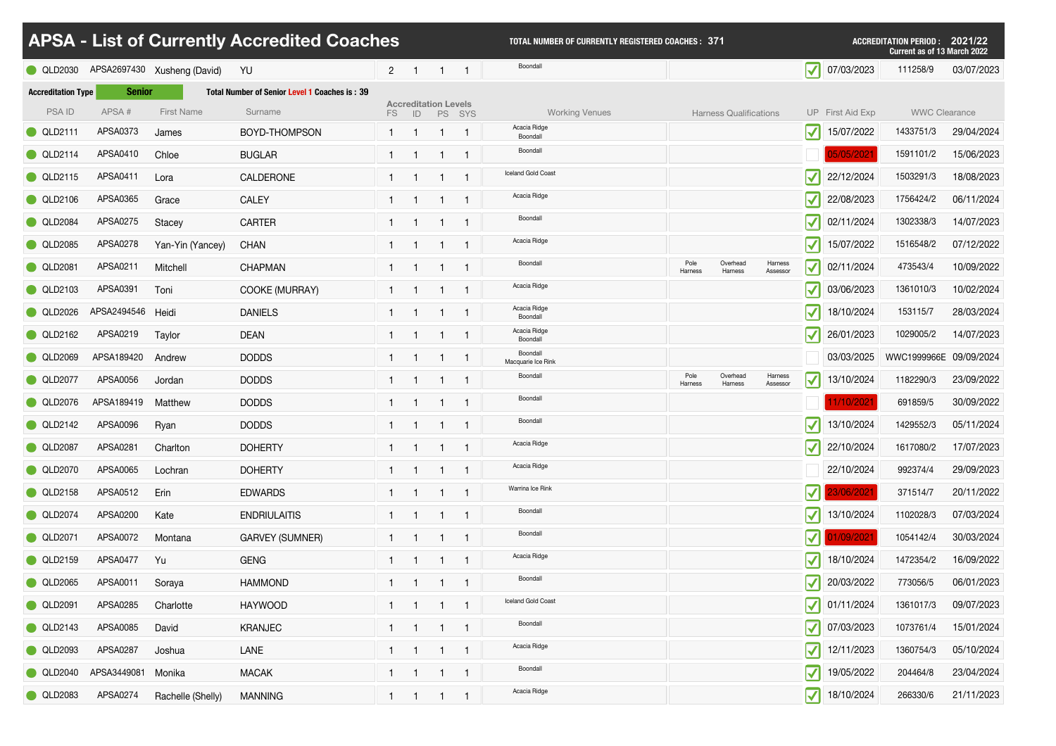|                           |                           |                             | <b>APSA - List of Currently Accredited Coaches</b>   |                |                                   |        | <b>TOTAL NUMBER OF CURRENTLY REGISTERED COACHES: 371</b> |                 |                               |                     |                              |                       | <b>ACCREDITATION PERIOD :</b><br><b>Current as of 13 March 2022</b> | 2021/22    |
|---------------------------|---------------------------|-----------------------------|------------------------------------------------------|----------------|-----------------------------------|--------|----------------------------------------------------------|-----------------|-------------------------------|---------------------|------------------------------|-----------------------|---------------------------------------------------------------------|------------|
| QLD2030                   |                           | APSA2697430 Xusheng (David) | YU                                                   | 2 <sup>1</sup> |                                   |        | Boondall                                                 |                 |                               |                     | $\blacktriangledown$         | 07/03/2023            | 111258/9                                                            | 03/07/2023 |
| <b>Accreditation Type</b> | <b>Senior</b>             |                             | <b>Total Number of Senior Level 1 Coaches is: 39</b> |                |                                   |        |                                                          |                 |                               |                     |                              |                       |                                                                     |            |
| <b>PSAID</b>              | APSA#                     | <b>First Name</b>           | Surname                                              | FS.            | <b>Accreditation Levels</b><br>ID | PS SYS | <b>Working Venues</b>                                    |                 | <b>Harness Qualifications</b> |                     |                              | UP First Aid Exp      | <b>WWC Clearance</b>                                                |            |
| <b>QLD2111</b>            | APSA0373                  | James                       | BOYD-THOMPSON                                        |                |                                   |        | Acacia Ridge<br>Boondall                                 |                 |                               |                     | $\boldsymbol{\mathcal{N}}$   | 15/07/2022            | 1433751/3                                                           | 29/04/2024 |
| <b>QLD2114</b>            | APSA0410                  | Chloe                       | <b>BUGLAR</b>                                        |                |                                   |        | Boondall                                                 |                 |                               |                     |                              | 05/05/2021            | 1591101/2                                                           | 15/06/2023 |
| <b>QLD2115</b>            | APSA0411                  | Lora                        | <b>CALDERONE</b>                                     |                |                                   |        | Iceland Gold Coast                                       |                 |                               |                     | $\blacktriangledown$         | 22/12/2024            | 1503291/3                                                           | 18/08/2023 |
| QLD2106                   | APSA0365                  | Grace                       | <b>CALEY</b>                                         |                |                                   |        | Acacia Ridge                                             |                 |                               |                     | $\blacktriangledown$         | 22/08/2023            | 1756424/2                                                           | 06/11/2024 |
| <b>QLD2084</b>            | APSA0275                  | Stacey                      | <b>CARTER</b>                                        |                |                                   |        | Boondall                                                 |                 |                               |                     | $\blacktriangledown$         | 02/11/2024            | 1302338/3                                                           | 14/07/2023 |
| QLD2085                   | APSA0278                  | Yan-Yin (Yancey)            | <b>CHAN</b>                                          |                |                                   |        | Acacia Ridge                                             |                 |                               |                     | $\blacktriangledown$         | 15/07/2022            | 1516548/2                                                           | 07/12/2022 |
| <b>QLD2081</b>            | APSA0211                  | Mitchell                    | <b>CHAPMAN</b>                                       |                |                                   |        | Boondall                                                 | Pole<br>Harness | Overhead<br>Harness           | Harness<br>Assessor | $\blacktriangledown$         | 02/11/2024            | 473543/4                                                            | 10/09/2022 |
| <b>QLD2103</b>            | APSA0391                  | Toni                        | <b>COOKE (MURRAY)</b>                                |                |                                   |        | Acacia Ridge                                             |                 |                               |                     | $\blacktriangledown$         | 03/06/2023            | 1361010/3                                                           | 10/02/2024 |
| <b>QLD2026</b>            | APSA2494546 Heidi         |                             | <b>DANIELS</b>                                       |                |                                   |        | Acacia Ridge<br>Boondall                                 |                 |                               |                     | $\blacktriangledown$         | 18/10/2024            | 153115/7                                                            | 28/03/2024 |
| QLD2162                   | APSA0219                  | Taylor                      | <b>DEAN</b>                                          |                |                                   |        | Acacia Ridge<br>Boondall                                 |                 |                               |                     | $\blacktriangledown$         | 26/01/2023            | 1029005/2                                                           | 14/07/2023 |
|                           | QLD2069 APSA189420 Andrew |                             | <b>DODDS</b>                                         |                |                                   |        | Boondall<br>Macquarie Ice Rink                           |                 |                               |                     |                              |                       | 03/03/2025   WWC1999966E 09/09/2024                                 |            |
| <b>QLD2077</b>            | APSA0056                  | Jordan                      | <b>DODDS</b>                                         |                |                                   |        | Boondall                                                 | Pole<br>Harness | Overhead<br>Harness           | Harness<br>Assessor | $\blacktriangledown$         | 13/10/2024            | 1182290/3                                                           | 23/09/2022 |
| QLD2076                   | APSA189419                | Matthew                     | <b>DODDS</b>                                         |                |                                   |        | Boondall                                                 |                 |                               |                     |                              | 11/10/2021            | 691859/5                                                            | 30/09/2022 |
| <b>QLD2142</b>            | APSA0096                  | Ryan                        | <b>DODDS</b>                                         |                |                                   |        | Boondall                                                 |                 |                               |                     | $ \boldsymbol{\mathcal{N}} $ | 13/10/2024            | 1429552/3                                                           | 05/11/2024 |
| <b>QLD2087</b>            | APSA0281                  | Charlton                    | <b>DOHERTY</b>                                       |                | $\mathbf{1}$                      |        | Acacia Ridge                                             |                 |                               |                     | $ \boldsymbol{\checkmark} $  | 22/10/2024            | 1617080/2                                                           | 17/07/2023 |
| QLD2070                   | APSA0065                  | Lochran                     | <b>DOHERTY</b>                                       |                | $\mathbf 1$                       | - 1    | Acacia Ridge                                             |                 |                               |                     |                              | 22/10/2024            | 992374/4                                                            | 29/09/2023 |
| QLD2158                   | APSA0512                  | Erin                        | <b>EDWARDS</b>                                       |                |                                   |        | Warrina Ice Rink                                         |                 |                               |                     | $\mathbf{V}$ ll              | 23/06/2021            | 371514/7                                                            | 20/11/2022 |
| <b>QLD2074</b>            | APSA0200                  | Kate                        | <b>ENDRIULAITIS</b>                                  |                |                                   |        | Boondall                                                 |                 |                               |                     | $ \blacktriangledown $       | 13/10/2024            | 1102028/3                                                           | 07/03/2024 |
| <b>QLD2071</b>            | APSA0072                  | Montana                     | <b>GARVEY (SUMNER)</b>                               |                |                                   |        | Boondall                                                 |                 |                               |                     |                              | $\sqrt{ }$ 01/09/2021 | 1054142/4                                                           | 30/03/2024 |
| <b>QLD2159</b>            | APSA0477                  | Yu                          | <b>GENG</b>                                          |                |                                   |        | Acacia Ridge                                             |                 |                               |                     | $ \boldsymbol{\mathcal{N}} $ | 18/10/2024            | 1472354/2                                                           | 16/09/2022 |
| QLD2065                   | APSA0011                  | Soraya                      | <b>HAMMOND</b>                                       |                | $\overline{1}$                    | - 1    | Boondall                                                 |                 |                               |                     | $\vert \mathcal{V} \vert$    | 20/03/2022            | 773056/5                                                            | 06/01/2023 |
| <b>QLD2091</b>            | APSA0285                  | Charlotte                   | <b>HAYWOOD</b>                                       |                |                                   |        | Iceland Gold Coast                                       |                 |                               |                     |                              | $\sqrt{}$ 01/11/2024  | 1361017/3                                                           | 09/07/2023 |
| <b>QLD2143</b>            | APSA0085                  | David                       | <b>KRANJEC</b>                                       |                | -1                                | - 1    | Boondall                                                 |                 |                               |                     | $ \blacktriangledown $       | 07/03/2023            | 1073761/4                                                           | 15/01/2024 |
| QLD2093                   | APSA0287                  | Joshua                      | LANE                                                 | $\mathbf{1}$   |                                   |        | Acacia Ridge                                             |                 |                               |                     | $ \blacktriangledown $       | 12/11/2023            | 1360754/3                                                           | 05/10/2024 |
| <b>QLD2040</b>            | APSA3449081 Monika        |                             | <b>MACAK</b>                                         |                |                                   |        | Boondall                                                 |                 |                               |                     | $ \blacktriangledown $       | 19/05/2022            | 204464/8                                                            | 23/04/2024 |
| QLD2083                   | APSA0274                  | Rachelle (Shelly)           | <b>MANNING</b>                                       |                |                                   |        | Acacia Ridge                                             |                 |                               |                     |                              | 18/10/2024            | 266330/6                                                            | 21/11/2023 |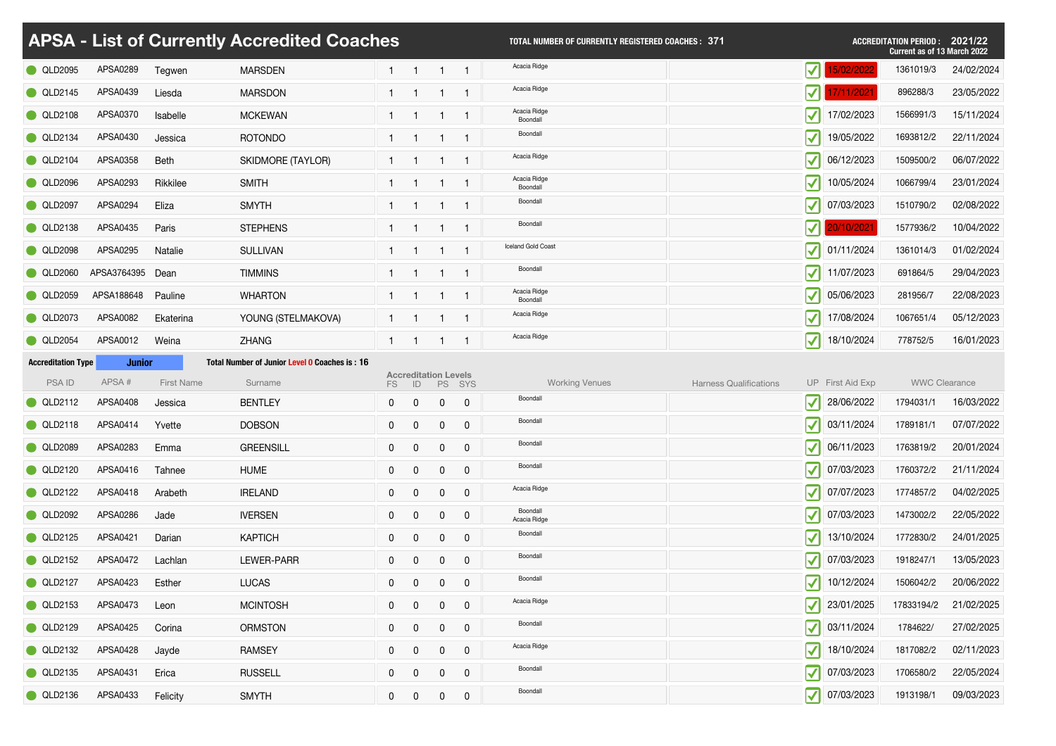|                                |               |                   | <b>APSA - List of Currently Accredited Coaches</b> |              |                                   |                |                | TOTAL NUMBER OF CURRENTLY REGISTERED COACHES : 371 |                                  |                                            | <b>ACCREDITATION PERIOD :</b><br><b>Current as of 13 March 2022</b> | 2021/22    |
|--------------------------------|---------------|-------------------|----------------------------------------------------|--------------|-----------------------------------|----------------|----------------|----------------------------------------------------|----------------------------------|--------------------------------------------|---------------------------------------------------------------------|------------|
| <b>QLD2095</b>                 | APSA0289      | Tegwen            | <b>MARSDEN</b>                                     |              |                                   |                |                | Acacia Ridge                                       | $\vert \mathcal{J} \vert$        | 5/02/2022                                  | 1361019/3                                                           | 24/02/2024 |
| <b>QLD2145</b>                 | APSA0439      | Liesda            | <b>MARSDON</b>                                     |              |                                   |                |                | Acacia Ridge                                       | $\vert \mathcal{J} \vert$        | 7/11/2021                                  | 896288/3                                                            | 23/05/2022 |
| <b>QLD2108</b>                 | APSA0370      | <b>Isabelle</b>   | <b>MCKEWAN</b>                                     |              |                                   |                |                | Acacia Ridge<br>Boondall                           | $ \boldsymbol{\mathcal{N}} $     | 17/02/2023                                 | 1566991/3                                                           | 15/11/2024 |
| <b>QLD2134</b>                 | APSA0430      | Jessica           | <b>ROTONDO</b>                                     |              |                                   |                |                | Boondall                                           | $ \boldsymbol{\mathcal{N}} $     | 19/05/2022                                 | 1693812/2                                                           | 22/11/2024 |
| $\bigcirc$ QLD2104             | APSA0358      | Beth              | <b>SKIDMORE (TAYLOR)</b>                           |              |                                   |                |                | Acacia Ridge                                       | $\vert \mathcal{V} \vert$        | 06/12/2023                                 | 1509500/2                                                           | 06/07/2022 |
| C QLD2096                      | APSA0293      | Rikkilee          | <b>SMITH</b>                                       |              |                                   |                |                | Acacia Ridge<br>Boondall                           | $ \boldsymbol{\mathcal{N}} $     | 10/05/2024                                 | 1066799/4                                                           | 23/01/2024 |
| <b>QLD2097</b>                 | APSA0294      | Eliza             | <b>SMYTH</b>                                       |              |                                   |                |                | Boondall                                           | $ \boldsymbol{\mathcal{N}} $     | 07/03/2023                                 | 1510790/2                                                           | 02/08/2022 |
| <b>QLD2138</b>                 | APSA0435      | Paris             | <b>STEPHENS</b>                                    |              |                                   |                |                | Boondall                                           |                                  | 20/10/2021                                 | 1577936/2                                                           | 10/04/2022 |
| <b>QLD2098</b>                 | APSA0295      | Natalie           | <b>SULLIVAN</b>                                    |              |                                   |                |                | Iceland Gold Coast                                 | $\vert \mathcal{V} \vert$        | 01/11/2024                                 | 1361014/3                                                           | 01/02/2024 |
| D2060 <b>_</b><br>$\bullet$ QL | APSA3764395   | Dean              | <b>TIMMINS</b>                                     |              |                                   |                |                | Boondall                                           | $ \boldsymbol{\mathcal{N}} $     | 11/07/2023                                 | 691864/5                                                            | 29/04/2023 |
| D2059<br><b>O</b> QL           | APSA188648    | Pauline           | <b>WHARTON</b>                                     |              |                                   |                |                | Acacia Ridge<br>Boondall                           | $\vert \mathcal{V} \vert$        | 05/06/2023                                 | 281956/7                                                            | 22/08/2023 |
| D2073<br>O QL                  | APSA0082      | Ekaterina         | YOUNG (STELMAKOVA)                                 |              |                                   |                |                | Acacia Ridge                                       | $ \boldsymbol{\mathcal{N}} $     | 17/08/2024                                 | 1067651/4                                                           | 05/12/2023 |
| <b>QLD2054</b>                 | APSA0012      | Weina             | <b>ZHANG</b>                                       |              |                                   |                |                | Acacia Ridge                                       | $ \blacktriangledown $           | 18/10/2024                                 | 778752/5                                                            | 16/01/2023 |
| <b>Accreditation Type</b>      | <b>Junior</b> |                   | Total Number of Junior Level 0 Coaches is: 16      |              |                                   |                |                |                                                    |                                  |                                            |                                                                     |            |
| <b>PSAID</b>                   | APSA#         | <b>First Name</b> | Surname                                            | FS.          | <b>Accreditation Levels</b><br>ID |                | PS SYS         | <b>Working Venues</b>                              | <b>Harness Qualifications</b>    | UP First Aid Exp                           | <b>WWC Clearance</b>                                                |            |
| QLD2112                        | APSA0408      | Jessica           | <b>BENTLEY</b>                                     | $\mathbf{0}$ | $\overline{0}$                    | $\overline{0}$ | $\overline{0}$ | Boondall                                           | $\vert \mathcal{V} \vert$        | 28/06/2022                                 | 1794031/1                                                           | 16/03/2022 |
| <b>QLD2118</b>                 | APSA0414      | Yvette            | <b>DOBSON</b>                                      | $\mathbf 0$  | $\overline{0}$                    | $\overline{0}$ | $\mathbf 0$    | Boondall                                           | $\vert \mathcal{V} \vert$        | 03/11/2024                                 | 1789181/1                                                           | 07/07/2022 |
| QLD2089                        | APSA0283      | Emma              | <b>GREENSILL</b>                                   | $\mathbf{0}$ | $\overline{0}$                    | $\overline{0}$ | $\mathbf 0$    | Boondall                                           |                                  | 06/11/2023<br>$ \boldsymbol{\mathcal{N}} $ | 1763819/2                                                           | 20/01/2024 |
| <b>QLD2120</b>                 | APSA0416      | Tahnee            | <b>HUME</b>                                        | $\mathbf{0}$ | $\overline{0}$                    | $\mathbf 0$    | $\mathbf 0$    | Boondall                                           |                                  | 07/03/2023<br>$ \boldsymbol{\mathcal{N}} $ | 1760372/2                                                           | 21/11/2024 |
| QLD2122                        | APSA0418      | Arabeth           | <b>IRELAND</b>                                     | $\mathbf{0}$ | $\overline{0}$                    | $\overline{0}$ | $\overline{0}$ | Acacia Ridge                                       |                                  | $ \boldsymbol{\mathcal{N}} $<br>07/07/2023 | 1774857/2                                                           | 04/02/2025 |
| QLD2092                        | APSA0286      | Jade              | <b>IVERSEN</b>                                     | $\mathbf{0}$ | $\overline{0}$                    | $\overline{0}$ | $\overline{0}$ | Boondall<br>Acacia Ridge                           | $ \boldsymbol{\mathcal{N}} $     | 07/03/2023                                 | 1473002/2                                                           | 22/05/2022 |
| <b>QLD2125</b>                 | APSA0421      | Darian            | <b>KAPTICH</b>                                     | $\mathbf 0$  | $\overline{0}$                    | $\overline{0}$ | $\mathbf 0$    | Boondall                                           | $\vert \mathcal{V} \vert$        | 13/10/2024                                 | 1772830/2                                                           | 24/01/2025 |
| QLD2152                        | APSA0472      | Lachlan           | LEWER-PARR                                         | $\mathbf 0$  | $\overline{0}$                    | $\mathbf 0$    | $\mathbf 0$    | Boondall                                           | $\vert \mathcal{V} \vert$        | 07/03/2023                                 | 1918247/1                                                           | 13/05/2023 |
| <b>QLD2127</b>                 | APSA0423      | Esther            | <b>LUCAS</b>                                       | $\mathbf{0}$ | $\overline{0}$                    | $\mathbf 0$    | $\mathbf 0$    | Boondall                                           | $\vert \mathcal{J} \vert$        | 10/12/2024                                 | 1506042/2                                                           | 20/06/2022 |
| <b>QLD2153</b>                 | APSA0473      | Leon              | <b>MCINTOSH</b>                                    | $\mathbf{0}$ | $\overline{0}$                    | $\overline{0}$ | $\overline{0}$ | Acacia Ridge                                       | $ \boldsymbol{\mathcal{N}} $     | 23/01/2025                                 | 17833194/2                                                          | 21/02/2025 |
| <b>QLD2129</b>                 | APSA0425      | Corina            | <b>ORMSTON</b>                                     | $\mathbf{0}$ | $\overline{0}$                    | $\overline{0}$ | $\mathbf 0$    | Boondall                                           | $ \boldsymbol{\mathcal{N}} $     | 03/11/2024                                 | 1784622/                                                            | 27/02/2025 |
| QLD2132                        | APSA0428      | Jayde             | <b>RAMSEY</b>                                      | $\mathbf{0}$ | $\overline{0}$                    | $\overline{0}$ | $\overline{0}$ | Acacia Ridge                                       | $\vert \blacktriangledown \vert$ | 18/10/2024                                 | 1817082/2                                                           | 02/11/2023 |
|                                |               |                   |                                                    |              |                                   |                |                | Boondall                                           |                                  |                                            |                                                                     | 22/05/2024 |
| <b>QLD2135</b>                 | APSA0431      | Erica             | <b>RUSSELL</b>                                     | $\mathbf 0$  | $\overline{0}$                    | $\overline{0}$ | $\overline{0}$ |                                                    |                                  | $\sqrt{ }$ 07/03/2023                      | 1706580/2                                                           |            |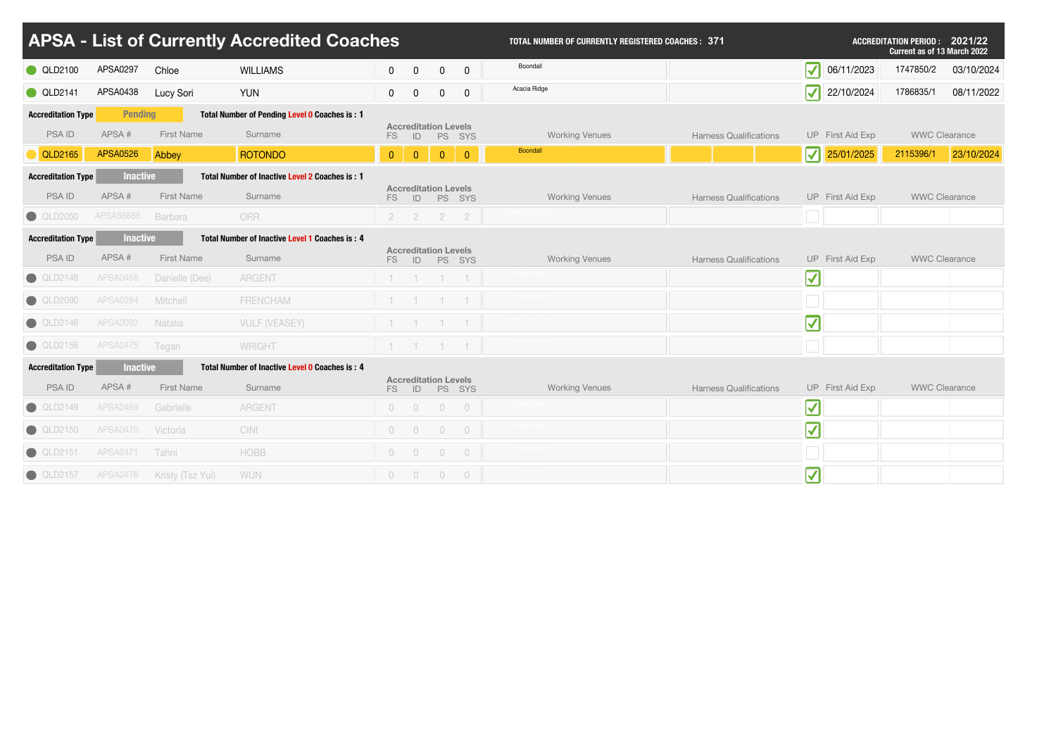|                           |                        |                           | <b>APSA - List of Currently Accredited Coaches</b> |                |                |                                             |                             | <b>TOTAL NUMBER OF CURRENTLY REGISTERED COACHES: 371</b> |                               |                                  |                  | <b>ACCREDITATION PERIOD :</b><br><b>Current as of 13 March 2022</b> | 2021/22    |
|---------------------------|------------------------|---------------------------|----------------------------------------------------|----------------|----------------|---------------------------------------------|-----------------------------|----------------------------------------------------------|-------------------------------|----------------------------------|------------------|---------------------------------------------------------------------|------------|
| <b>QLD2100</b>            | <b>APSA0297</b>        | Chloe                     | <b>WILLIAMS</b>                                    | $\mathbf 0$    | $\overline{0}$ | $\overline{0}$                              | $\mathbf 0$                 | Boondall                                                 |                               | $\vert \blacktriangledown \vert$ | 06/11/2023       | 1747850/2                                                           | 03/10/2024 |
| <b>QLD2141</b>            | APSA0438               | <b>Lucy Sori</b>          | <b>YUN</b>                                         | $\mathbf 0$    | $\overline{0}$ | $\overline{0}$                              | $\mathbf 0$                 | Acacia Ridge                                             |                               | $ \boldsymbol{\checkmark} $      | 22/10/2024       | 1786835/1                                                           | 08/11/2022 |
| <b>Accreditation Type</b> | <b>Pending</b>         |                           | Total Number of Pending Level 0 Coaches is: 1      |                |                |                                             |                             |                                                          |                               |                                  |                  |                                                                     |            |
| <b>PSAID</b>              | APSA#                  | <b>First Name</b>         | Surname                                            | FS             | ID             | <b>Accreditation Levels</b>                 | PS SYS                      | <b>Working Venues</b>                                    | <b>Harness Qualifications</b> |                                  | UP First Aid Exp | <b>WWC Clearance</b>                                                |            |
| QLD2165                   | <b>APSA0526</b>        | Abbey                     | <b>ROTONDO</b>                                     | $\overline{0}$ | $\overline{0}$ | $\overline{0}$                              | $\overline{0}$              | Boondall                                                 |                               | $ \overline{\mathbf{v}} $        | 25/01/2025       | 2115396/1                                                           | 23/10/2024 |
| <b>Accreditation Type</b> | <b>Inactive</b>        |                           | Total Number of Inactive Level 2 Coaches is: 1     |                |                |                                             |                             |                                                          |                               |                                  |                  |                                                                     |            |
| <b>PSAID</b>              | APSA#                  | <b>First Name</b>         | Surname                                            | FS             | ID             | <b>Accreditation Levels</b>                 | PS SYS                      | <b>Working Venues</b>                                    | <b>Harness Qualifications</b> |                                  | UP First Aid Exp | <b>WWC Clearance</b>                                                |            |
| <b>QLD2050</b>            | APSA56886              | <b>Barbara</b>            | ORR                                                | $\overline{2}$ |                | $\overline{2}$                              | $\overline{2}$              |                                                          |                               |                                  |                  |                                                                     |            |
| <b>Accreditation Type</b> | <b>Inactive</b>        |                           | Total Number of Inactive Level 1 Coaches is: 4     |                |                |                                             |                             |                                                          |                               |                                  |                  |                                                                     |            |
| <b>PSAID</b>              | APSA#                  | <b>First Name</b>         | Surname                                            | FS             | ID             | <b>Accreditation Levels</b>                 | PS SYS                      | <b>Working Venues</b>                                    | <b>Harness Qualifications</b> |                                  | UP First Aid Exp | <b>WWC Clearance</b>                                                |            |
| $\bigcirc$ QLD2148        | <b>APSA0468</b>        | Danielle (Dee)            | <b>ARGENT</b>                                      |                |                |                                             |                             |                                                          |                               | $\vert \blacktriangledown \vert$ |                  |                                                                     |            |
| <b>QLD2090</b>            | <b>APSA0284</b>        | <b>Mitchell</b>           | <b>FRENCHAM</b>                                    |                |                | $-1$                                        |                             |                                                          |                               |                                  |                  |                                                                     |            |
| <b>QLD2146</b>            | <b>APSA0092</b>        | Natalia                   | <b>VULF (VEASEY)</b>                               |                |                |                                             |                             |                                                          |                               | $ \blacktriangledown $           |                  |                                                                     |            |
|                           | QLD2156 APSA0475 Tegan |                           | WRIGHT                                             |                |                |                                             | $1 \quad 1 \quad 1 \quad 1$ |                                                          |                               |                                  |                  |                                                                     |            |
| <b>Accreditation Type</b> | <b>Inactive</b>        |                           | Total Number of Inactive Level 0 Coaches is: 4     |                |                |                                             |                             |                                                          |                               |                                  |                  |                                                                     |            |
| <b>PSAID</b>              | APSA#                  | <b>First Name</b>         | Surname                                            |                |                | <b>Accreditation Levels</b>                 | FS ID PS SYS                | <b>Working Venues</b>                                    | <b>Harness Qualifications</b> |                                  | UP First Aid Exp | <b>WWC Clearance</b>                                                |            |
| <b>QLD2149</b>            | <b>APSA0469</b>        | Gabrielle                 | <b>ARGENT</b>                                      |                | $0\qquad 0$    | $0\qquad 0$                                 |                             |                                                          |                               | $\blacktriangledown$             |                  |                                                                     |            |
| QLD2150                   | <b>APSA0470</b>        | Victoria                  | <b>CINI</b>                                        |                | $\overline{0}$ | $\bigcirc$                                  | $\overline{0}$              |                                                          |                               | $\vert \blacktriangledown \vert$ |                  |                                                                     |            |
| $\bigcirc$ QLD2151        | APSA0471 Tahni         |                           | <b>HOBB</b>                                        |                |                | $\begin{matrix} 0 & 0 & 0 & 0 \end{matrix}$ |                             |                                                          |                               |                                  |                  |                                                                     |            |
| <b>QLD2157</b>            |                        | APSA0476 Kristy (Tsz Yui) | <b>WUN</b>                                         |                |                | $\begin{matrix} 0 & 0 & 0 & 0 \end{matrix}$ |                             |                                                          |                               | $\vert \blacktriangledown \vert$ |                  |                                                                     |            |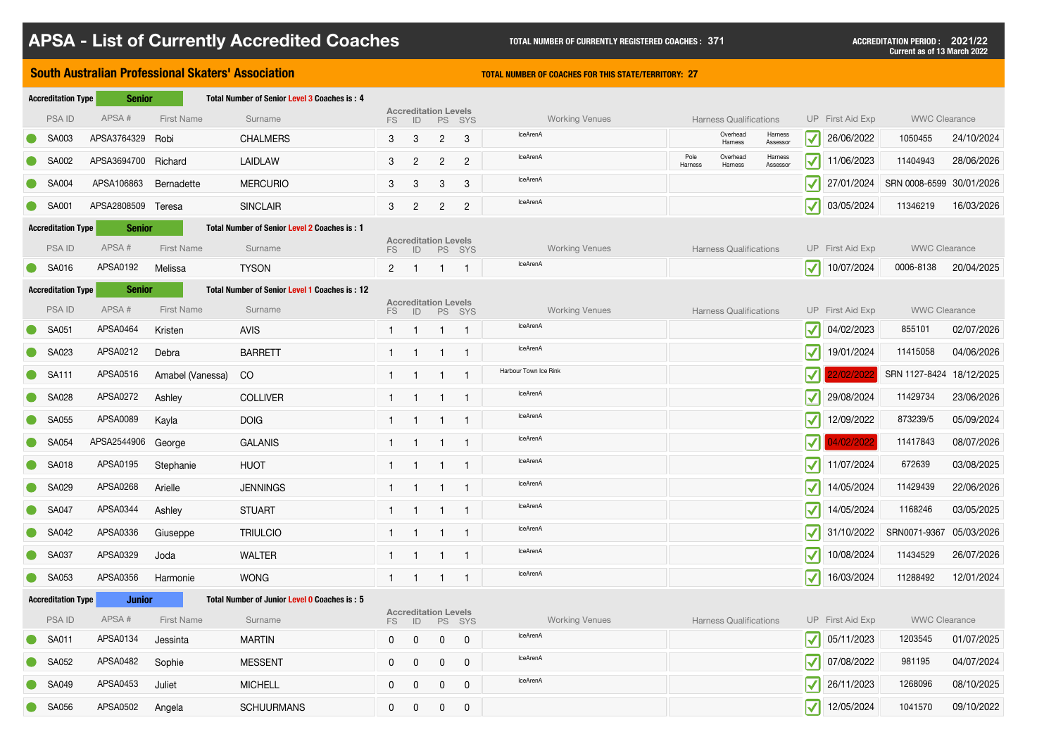|                           | <b>South Australian Professional Skaters' Association</b> | <b>TOTAL NUMBER OF COACHES FOR THIS STATE/TERRITORY: 27</b> |                                               |                 |                                   |                |                |                       |                 |                               |                     |                                  |                       |                          |            |
|---------------------------|-----------------------------------------------------------|-------------------------------------------------------------|-----------------------------------------------|-----------------|-----------------------------------|----------------|----------------|-----------------------|-----------------|-------------------------------|---------------------|----------------------------------|-----------------------|--------------------------|------------|
| <b>Accreditation Type</b> | <b>Senior</b>                                             |                                                             | Total Number of Senior Level 3 Coaches is: 4  |                 |                                   |                |                |                       |                 |                               |                     |                                  |                       |                          |            |
| <b>PSAID</b>              | APSA#                                                     | <b>First Name</b>                                           | Surname                                       | FS              | <b>Accreditation Levels</b><br> D |                | PS SYS         | <b>Working Venues</b> |                 | <b>Harness Qualifications</b> |                     |                                  | UP First Aid Exp      | <b>WWC Clearance</b>     |            |
| <b>SA003</b>              | APSA3764329 Robi                                          |                                                             | <b>CHALMERS</b>                               | $\mathbf{3}$    | 3                                 | $2^{\circ}$    | $\mathbf{3}$   | IceArenA              |                 | Overhead<br>Harness           | Harness<br>Assessor | $\vert \blacktriangledown \vert$ | 26/06/2022            | 1050455                  | 24/10/2024 |
| <b>SA002</b>              | APSA3694700 Richard                                       |                                                             | <b>LAIDLAW</b>                                | $\mathbf{3}$    | $\overline{2}$                    | $\overline{2}$ | $\overline{2}$ | <b>IceArenA</b>       | Pole<br>Harness | Overhead<br>Harness           | Harness<br>Assessor | $\vert \mathcal{V} \vert$        | 11/06/2023            | 11404943                 | 28/06/2026 |
| <b>SA004</b>              | APSA106863                                                | Bernadette                                                  | <b>MERCURIO</b>                               | $3\overline{3}$ | 3                                 | 3              | 3              | IceArenA              |                 |                               |                     | $ \boldsymbol{\mathcal{N}} $     | 27/01/2024            | SRN 0008-6599 30/01/2026 |            |
| <b>SA001</b>              | APSA2808509 Teresa                                        |                                                             | <b>SINCLAIR</b>                               | $\mathbf{3}$    | $\overline{2}$                    | $\overline{2}$ | $2^{\circ}$    | <b>IceArenA</b>       |                 |                               |                     | $\vert \mathcal{V} \vert$        | 03/05/2024            | 11346219                 | 16/03/2026 |
| <b>Accreditation Type</b> | <b>Senior</b>                                             |                                                             | Total Number of Senior Level 2 Coaches is: 1  |                 |                                   |                |                |                       |                 |                               |                     |                                  |                       |                          |            |
| <b>PSAID</b>              | APSA#                                                     | <b>First Name</b>                                           | Surname                                       | FS              | <b>Accreditation Levels</b><br>ID |                | PS SYS         | <b>Working Venues</b> |                 | <b>Harness Qualifications</b> |                     |                                  | UP First Aid Exp      | <b>WWC Clearance</b>     |            |
| $\bigcirc$ SA016          | APSA0192                                                  | Melissa                                                     | <b>TYSON</b>                                  | $2^{\circ}$     | -1                                | $\mathbf 1$    |                | <b>IceArenA</b>       |                 |                               |                     | $\vert \mathcal{V} \vert$        | 10/07/2024            | 0006-8138                | 20/04/2025 |
| <b>Accreditation Type</b> | <b>Senior</b>                                             |                                                             | Total Number of Senior Level 1 Coaches is: 12 |                 |                                   |                |                |                       |                 |                               |                     |                                  |                       |                          |            |
| <b>PSAID</b>              | APSA#                                                     | <b>First Name</b>                                           | Surname                                       | FS              | <b>Accreditation Levels</b><br>ID |                | PS SYS         | <b>Working Venues</b> |                 | <b>Harness Qualifications</b> |                     |                                  | UP First Aid Exp      | <b>WWC Clearance</b>     |            |
| <b>SA051</b>              | APSA0464                                                  | Kristen                                                     | <b>AVIS</b>                                   |                 |                                   | -1             |                | IceArenA              |                 |                               |                     | $ \boldsymbol{\mathcal{N}} $     | 04/02/2023            | 855101                   | 02/07/2026 |
| <b>SA023</b>              | APSA0212                                                  | Debra                                                       | <b>BARRETT</b>                                |                 |                                   | $\mathbf 1$    |                | IceArenA              |                 |                               |                     | $ \boldsymbol{\mathcal{N}} $     | 19/01/2024            | 11415058                 | 04/06/2026 |
| <b>SA111</b>              | APSA0516                                                  | Amabel (Vanessa)                                            | CO                                            | $\mathbf 1$     | - 1                               |                |                | Harbour Town Ice Rink |                 |                               |                     | $ \boldsymbol{\mathcal{N}} $     | 22/02/2022            | SRN 1127-8424 18/12/2025 |            |
| <b>SA028</b>              | <b>APSA0272</b>                                           | Ashley                                                      | <b>COLLIVER</b>                               |                 |                                   |                |                | IceArenA              |                 |                               |                     | $ \bm{\nabla} $                  | 29/08/2024            | 11429734                 | 23/06/2026 |
| <b>SA055</b>              | APSA0089                                                  | Kayla                                                       | <b>DOIG</b>                                   |                 |                                   |                |                | IceArenA              |                 |                               |                     | $\vert \mathcal{V} \vert$        | 12/09/2022            | 873239/5                 | 05/09/2024 |
| <b>SA054</b>              | APSA2544906 George                                        |                                                             | <b>GALANIS</b>                                |                 | - 1                               | -1             |                | IceArenA              |                 |                               |                     | $\vert\mathcal{J}\vert\vert$     | 04/02/2022            | 11417843                 | 08/07/2026 |
| SA018                     | APSA0195                                                  | Stephanie                                                   | <b>HUOT</b>                                   |                 | - 1                               | $\overline{1}$ |                | IceArenA              |                 |                               |                     | $ \boldsymbol{\mathcal{N}} $     | 11/07/2024            | 672639                   | 03/08/2025 |
| <b>SA029</b>              | APSA0268                                                  | Arielle                                                     | <b>JENNINGS</b>                               |                 |                                   | -1             |                | IceArenA              |                 |                               |                     | $ \boldsymbol{\mathcal{N}} $     | 14/05/2024            | 11429439                 | 22/06/2026 |
| $\bullet$ SA047           | APSA0344                                                  | Ashley                                                      | <b>STUART</b>                                 | $\mathbf{1}$    | -1                                | -1             |                | IceArenA              |                 |                               |                     | $ \boldsymbol{\mathcal{N}} $     | 14/05/2024            | 1168246                  | 03/05/2025 |
| <b>SA042</b>              | APSA0336                                                  | Giuseppe                                                    | <b>TRIULCIO</b>                               |                 |                                   |                |                | IceArenA              |                 |                               |                     | $\vert \mathcal{V} \vert$        | 31/10/2022            | SRN0071-9367 05/03/2026  |            |
| <b>SA037</b>              | APSA0329                                                  | Joda                                                        | <b>WALTER</b>                                 |                 |                                   | $\mathbf 1$    |                | IceArenA              |                 |                               |                     | $\vert \mathcal{V} \vert$        | 10/08/2024            | 11434529                 | 26/07/2026 |
| SA053                     | APSA0356                                                  | Harmonie                                                    | <b>WONG</b>                                   | $\mathbf{1}$    | $\overline{\phantom{0}}$          | $\mathbf{1}$   |                | IceArenA              |                 |                               |                     | $ \boldsymbol{\mathcal{N}} $     | 16/03/2024            | 11288492                 | 12/01/2024 |
| <b>Accreditation Type</b> | <b>Junior</b>                                             |                                                             | Total Number of Junior Level 0 Coaches is: 5  |                 |                                   |                |                |                       |                 |                               |                     |                                  |                       |                          |            |
| PSA ID                    | APSA#                                                     | <b>First Name</b>                                           | Surname                                       | FS              | <b>Accreditation Levels</b><br>ID |                | PS SYS         | <b>Working Venues</b> |                 | <b>Harness Qualifications</b> |                     |                                  | UP First Aid Exp      | <b>WWC Clearance</b>     |            |
| <b>SA011</b>              | APSA0134                                                  | Jessinta                                                    | <b>MARTIN</b>                                 | $\mathbf 0$     | $\overline{0}$                    | $\overline{0}$ | $\overline{0}$ | IceArenA              |                 |                               |                     |                                  | $\sqrt{ }$ 05/11/2023 | 1203545                  | 01/07/2025 |
| <b>SA052</b>              | APSA0482                                                  | Sophie                                                      | <b>MESSENT</b>                                | $\mathbf 0$     | $\overline{0}$                    | $\mathbf 0$    | $\overline{0}$ | IceArenA              |                 |                               |                     | $ \boldsymbol{\mathcal{N}} $     | 07/08/2022            | 981195                   | 04/07/2024 |
| <b>SA049</b>              | APSA0453                                                  | Juliet                                                      | <b>MICHELL</b>                                | $\mathbf 0$     | $\overline{0}$                    | $\overline{0}$ | $\mathbf 0$    | IceArenA              |                 |                               |                     | $ \boldsymbol{\mathcal{N}} $     | 26/11/2023            | 1268096                  | 08/10/2025 |
| <b>SA056</b>              | APSA0502                                                  | Angela                                                      | <b>SCHUURMANS</b>                             | $\mathbf{0}$    | $\mathbf 0$                       | $\mathbf 0$    | $\mathbf 0$    |                       |                 |                               |                     | $ \boldsymbol{\mathcal{N}} $     | 12/05/2024            | 1041570                  | 09/10/2022 |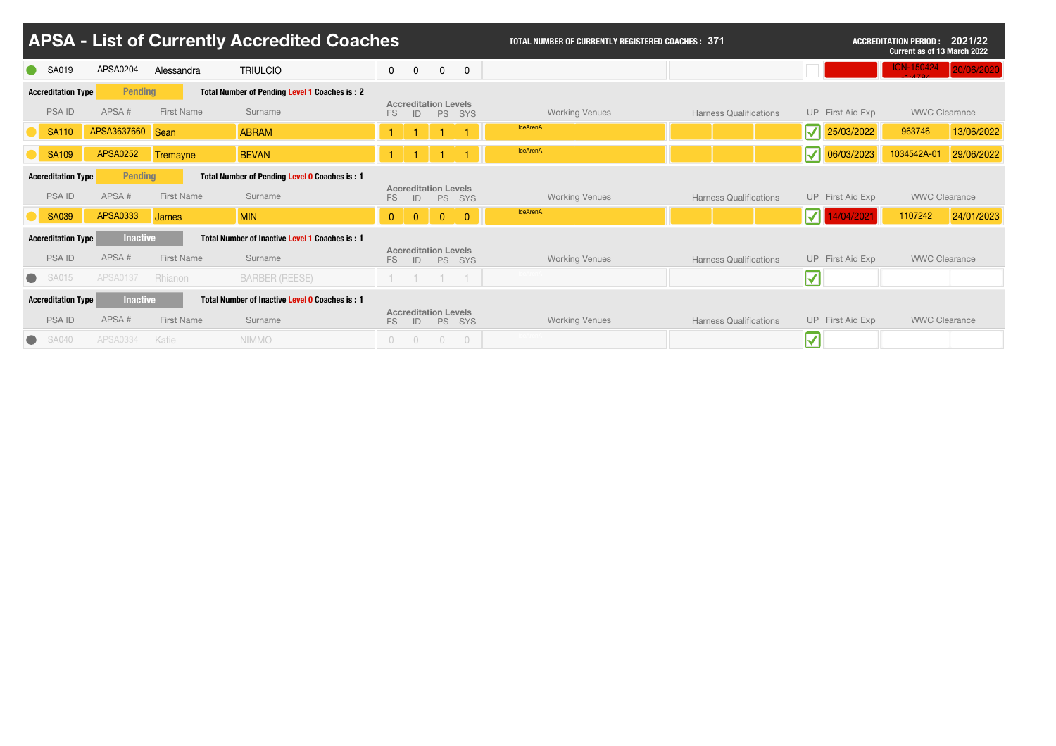|                                                                                              | <b>APSA - List of Currently Accredited Coaches</b> |                  |                   |                                                       |                |                                   |                |                | <b>TOTAL NUMBER OF CURRENTLY REGISTERED COACHES: 371</b> | 2021/22<br><b>ACCREDITATION PERIOD :</b><br><b>Current as of 13 March 2022</b> |                                        |                      |            |
|----------------------------------------------------------------------------------------------|----------------------------------------------------|------------------|-------------------|-------------------------------------------------------|----------------|-----------------------------------|----------------|----------------|----------------------------------------------------------|--------------------------------------------------------------------------------|----------------------------------------|----------------------|------------|
|                                                                                              | <b>SA019</b>                                       | APSA0204         | Alessandra        | <b>TRIULCIO</b>                                       | $\mathbf 0$    | $\overline{0}$                    | $\mathbf 0$    | $\overline{0}$ |                                                          |                                                                                |                                        | <b>ICN-150424</b>    | 20/06/2020 |
|                                                                                              | <b>Accreditation Type</b>                          | <b>Pending</b>   |                   | Total Number of Pending Level 1 Coaches is: 2         |                |                                   |                |                |                                                          |                                                                                |                                        |                      |            |
|                                                                                              | <b>PSA ID</b>                                      | APSA#            | <b>First Name</b> | Surname                                               | FS             | <b>Accreditation Levels</b><br>ID | <b>PS</b>      | SYS            | <b>Working Venues</b>                                    | <b>Harness Qualifications</b>                                                  | UP First Aid Exp                       | <b>WWC Clearance</b> |            |
|                                                                                              | <b>SA110</b>                                       | APSA3637660 Sean |                   | <b>ABRAM</b>                                          |                |                                   |                |                | <b>IceArenA</b>                                          |                                                                                | $\overline{\mathbf{v}}$<br>25/03/2022  | 963746               | 13/06/2022 |
|                                                                                              | <b>SA109</b>                                       | <b>APSA0252</b>  | Tremayne          | <b>BEVAN</b>                                          |                |                                   |                |                | <b>IceArenA</b>                                          |                                                                                | $\overline{\mathbf{v}'}$<br>06/03/2023 | 1034542A-01          | 29/06/2022 |
| <b>Accreditation Type</b><br><b>Pending</b><br>Total Number of Pending Level 0 Coaches is: 1 |                                                    |                  |                   |                                                       |                |                                   |                |                |                                                          |                                                                                |                                        |                      |            |
|                                                                                              | <b>PSAID</b>                                       | APSA#            | <b>First Name</b> | Surname                                               | FS.            | <b>Accreditation Levels</b><br>ID | <b>PS</b>      | SYS            | <b>Working Venues</b>                                    | <b>Harness Qualifications</b>                                                  | UP First Aid Exp                       | <b>WWC Clearance</b> |            |
|                                                                                              | <b>SA039</b>                                       | <b>APSA0333</b>  | <b>James</b>      | <b>MIN</b>                                            | $\overline{0}$ | $\overline{0}$                    | $\overline{0}$ | $\overline{0}$ | <b>IceArenA</b>                                          |                                                                                | /2021                                  | 1107242              | 24/01/2023 |
|                                                                                              | <b>Accreditation Type</b>                          | <b>Inactive</b>  |                   | Total Number of Inactive Level 1 Coaches is: 1        |                |                                   |                |                |                                                          |                                                                                |                                        |                      |            |
|                                                                                              | <b>PSAID</b>                                       | APSA#            | <b>First Name</b> | Surname                                               | FS             | <b>Accreditation Levels</b><br>ID |                | PS SYS         | <b>Working Venues</b>                                    | <b>Harness Qualifications</b>                                                  | UP First Aid Exp                       | <b>WWC Clearance</b> |            |
| $\bullet$                                                                                    | SA015                                              | <b>APSA0137</b>  | Rhianon           | <b>BARBER (REESE)</b>                                 |                |                                   |                | $-1$           |                                                          |                                                                                | $\boldsymbol{\mathcal{N}}$             |                      |            |
|                                                                                              | <b>Accreditation Type</b>                          | <b>Inactive</b>  |                   | <b>Total Number of Inactive Level 0 Coaches is: 1</b> |                |                                   |                |                |                                                          |                                                                                |                                        |                      |            |
|                                                                                              | <b>PSAID</b>                                       | APSA#            | <b>First Name</b> | Surname                                               | FS             | <b>Accreditation Levels</b><br>ID |                | PS SYS         | <b>Working Venues</b>                                    | <b>Harness Qualifications</b>                                                  | UP First Aid Exp                       | <b>WWC Clearance</b> |            |
|                                                                                              | <b>SA040</b>                                       | <b>APSA0334</b>  | Katie             | <b>NIMMO</b>                                          | $\overline{0}$ | $\overline{0}$                    | $\overline{0}$ | $\overline{0}$ |                                                          |                                                                                | $\overline{\mathbf{v}'}$               |                      |            |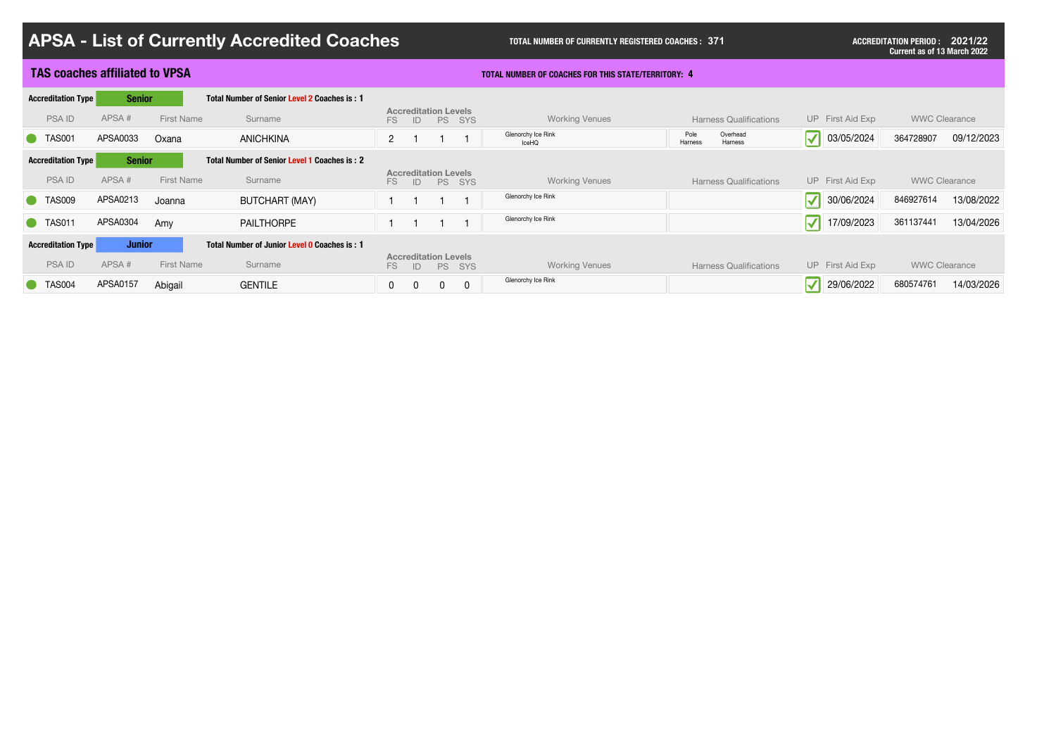| <b>APSA - List of Currently Accredited Coaches</b>                                                |                                                              | <b>TOTAL NUMBER OF CURRENTLY REGISTERED COACHES: 371</b>   | <b>ACCREDITATION PERIOD : 2021/22</b><br><b>Current as of 13 March 2022</b> |                                                |                         |  |
|---------------------------------------------------------------------------------------------------|--------------------------------------------------------------|------------------------------------------------------------|-----------------------------------------------------------------------------|------------------------------------------------|-------------------------|--|
| <b>TAS coaches affiliated to VPSA</b>                                                             |                                                              | <b>TOTAL NUMBER OF COACHES FOR THIS STATE/TERRITORY: 4</b> |                                                                             |                                                |                         |  |
| <b>Accreditation Type</b><br><b>Senior</b><br>Total Number of Senior Level 2 Coaches is: 1        |                                                              |                                                            |                                                                             |                                                |                         |  |
| APSA#<br><b>PSAID</b><br><b>First Name</b><br>Surname                                             | <b>Accreditation Levels</b><br><b>PS</b><br>SYS<br>FS.<br>ID | <b>Working Venues</b>                                      | <b>Harness Qualifications</b>                                               | UP First Aid Exp                               | <b>WWC Clearance</b>    |  |
| APSA0033<br><b>C</b> TAS001<br>Oxana<br><b>ANICHKINA</b>                                          | $\overline{2}$                                               | Glenorchy Ice Rink<br>IceHQ                                | Overhead<br>Pole<br>Harness<br>Harness                                      | $\vert \blacktriangledown \vert$<br>03/05/2024 | 09/12/2023<br>364728907 |  |
| <b>Senior</b><br><b>Accreditation Type</b><br><b>Total Number of Senior Level 1 Coaches is: 2</b> |                                                              |                                                            |                                                                             |                                                |                         |  |
| APSA#<br><b>PSAID</b><br><b>First Name</b><br>Surname                                             | <b>Accreditation Levels</b><br>PS SYS<br>FS<br>ID            | <b>Working Venues</b>                                      | <b>Harness Qualifications</b>                                               | UP First Aid Exp                               | <b>WWC Clearance</b>    |  |
| C TAS009<br>APSA0213<br><b>BUTCHART (MAY)</b><br>Joanna                                           |                                                              | Glenorchy Ice Rink                                         |                                                                             | $\vert \mathcal{N} \vert$<br>30/06/2024        | 13/08/2022<br>846927614 |  |
| APSA0304<br>C TAS011<br><b>PAILTHORPE</b><br>Amy                                                  |                                                              | Glenorchy Ice Rink                                         |                                                                             | 17/09/2023<br>$\blacktriangledown$             | 13/04/2026<br>361137441 |  |
| <b>Accreditation Type</b><br><b>Junior</b><br>Total Number of Junior Level 0 Coaches is: 1        |                                                              |                                                            |                                                                             |                                                |                         |  |
| APSA#<br><b>PSAID</b><br><b>First Name</b><br>Surname                                             | <b>Accreditation Levels</b><br>FS.<br><b>PS</b><br>SYS<br>ID | <b>Working Venues</b>                                      | <b>Harness Qualifications</b>                                               | UP First Aid Exp                               | <b>WWC Clearance</b>    |  |
| <b>APSA0157</b><br><b>TAS004</b><br><b>GENTILE</b><br>Abigail                                     | $\overline{0}$<br>$\overline{0}$<br>$\mathbf 0$<br>$\Omega$  | Glenorchy Ice Rink                                         |                                                                             | 29/06/2022<br>$\blacktriangledown$             | 14/03/2026<br>680574761 |  |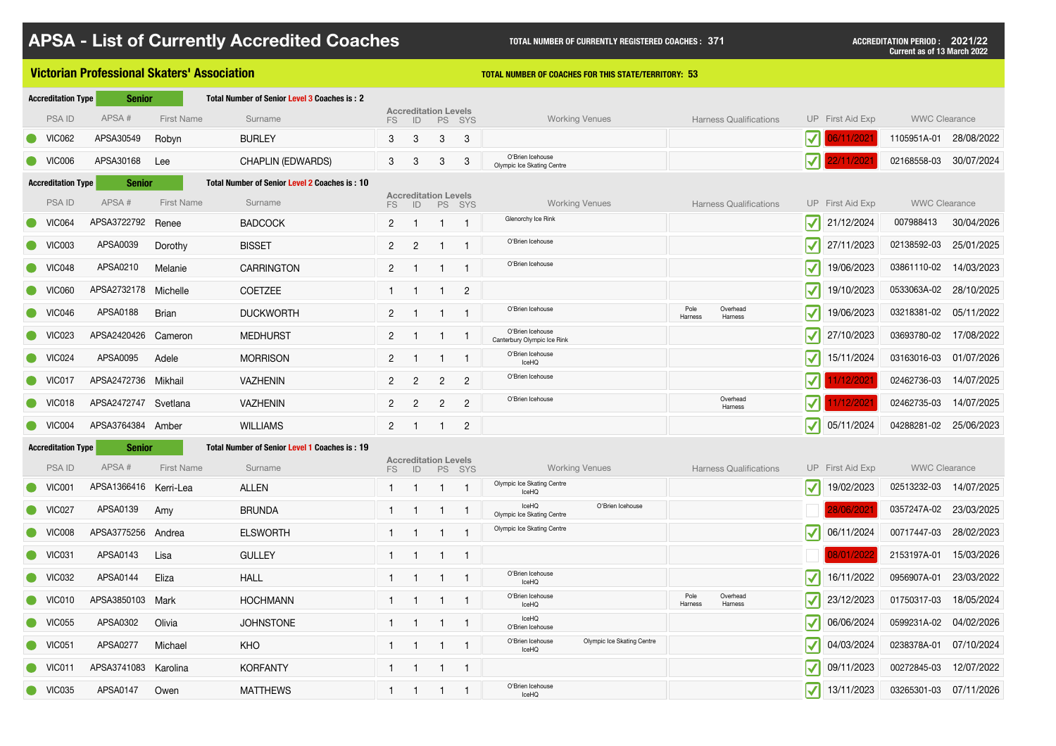|                            | <b>Victorian Professional Skaters' Association</b> |                   |                                               |                |                                   | <b>TOTAL NUMBER OF COACHES FOR THIS STATE/TERRITORY: 53</b> |                |                                                         |                                        |                                |                        |                      |            |  |  |  |
|----------------------------|----------------------------------------------------|-------------------|-----------------------------------------------|----------------|-----------------------------------|-------------------------------------------------------------|----------------|---------------------------------------------------------|----------------------------------------|--------------------------------|------------------------|----------------------|------------|--|--|--|
| <b>Accreditation Type</b>  | <b>Senior</b>                                      |                   | Total Number of Senior Level 3 Coaches is: 2  |                |                                   |                                                             |                |                                                         |                                        |                                |                        |                      |            |  |  |  |
| <b>PSAID</b>               | APSA#                                              | <b>First Name</b> | Surname                                       | FS             | <b>Accreditation Levels</b><br>ID | <b>PS</b>                                                   | SYS            | <b>Working Venues</b>                                   | <b>Harness Qualifications</b>          |                                | UP First Aid Exp       | <b>WWC Clearance</b> |            |  |  |  |
| <b>VIC062</b>              | APSA30549                                          | Robyn             | <b>BURLEY</b>                                 | 3 <sup>°</sup> | 3                                 | 3 <sup>°</sup>                                              | $\mathbf{3}$   |                                                         |                                        | $\vert\bm{\surd}\vert\vert$    | 06/11/2021             | 1105951A-01          | 28/08/2022 |  |  |  |
| VIC006                     | APSA30168                                          | Lee               | <b>CHAPLIN (EDWARDS)</b>                      | 3 <sup>1</sup> | $3^{\circ}$                       | 3 <sup>°</sup>                                              | $\mathbf{3}$   | O'Brien Icehouse<br>Olympic Ice Skating Centre          |                                        | $\mathbf{V}$ $\mathbf{I}$      | 22/11/2021             | 02168558-03          | 30/07/2024 |  |  |  |
| <b>Accreditation Type</b>  | <b>Senior</b>                                      |                   | Total Number of Senior Level 2 Coaches is: 10 |                |                                   |                                                             |                |                                                         |                                        |                                |                        |                      |            |  |  |  |
| <b>PSAID</b>               | APSA#                                              | <b>First Name</b> | Surname                                       | FS.            | <b>Accreditation Levels</b><br>ID |                                                             | PS SYS         | <b>Working Venues</b>                                   | <b>Harness Qualifications</b>          |                                | UP First Aid Exp       | <b>WWC Clearance</b> |            |  |  |  |
| VIC064                     | APSA3722792 Renee                                  |                   | <b>BADCOCK</b>                                | 2 <sup>1</sup> |                                   |                                                             |                | Glenorchy Ice Rink                                      |                                        | $\vert \mathcal{V} \vert$      | 21/12/2024             | 007988413            | 30/04/2026 |  |  |  |
| VIC003                     | APSA0039                                           | Dorothy           | <b>BISSET</b>                                 | $2^{\circ}$    | $\overline{2}$                    |                                                             |                | O'Brien Icehouse                                        |                                        | $ \boldsymbol{\mathcal{N}} $   | 27/11/2023             | 02138592-03          | 25/01/2025 |  |  |  |
| VIC048                     | APSA0210                                           | Melanie           | <b>CARRINGTON</b>                             | 2 <sup>1</sup> |                                   |                                                             |                | O'Brien Icehouse                                        |                                        | $ \boldsymbol{\mathcal{N}} $   | 19/06/2023             | 03861110-02          | 14/03/2023 |  |  |  |
| <b>VIC060</b>              | APSA2732178 Michelle                               |                   | <b>COETZEE</b>                                |                |                                   |                                                             | $\overline{2}$ |                                                         |                                        | $\blacktriangledown$           | 19/10/2023             | 0533063A-02          | 28/10/2025 |  |  |  |
| VIC046                     | APSA0188                                           | <b>Brian</b>      | <b>DUCKWORTH</b>                              | 2 <sup>1</sup> |                                   |                                                             |                | O'Brien Icehouse                                        | Pole<br>Overhead<br>Harness<br>Harness | $\vert\blacktriangledown\vert$ | 19/06/2023             | 03218381-02          | 05/11/2022 |  |  |  |
| <b>VIC023</b>              | APSA2420426 Cameron                                |                   | <b>MEDHURST</b>                               | 2 <sup>1</sup> |                                   |                                                             |                | O'Brien Icehouse<br>Canterbury Olympic Ice Rink         |                                        | $\vert\blacktriangledown\vert$ | 27/10/2023             | 03693780-02          | 17/08/2022 |  |  |  |
| VIC024                     | APSA0095                                           | Adele             | <b>MORRISON</b>                               | $2^{\circ}$    |                                   |                                                             |                | O'Brien Icehouse<br>IceHQ                               |                                        | $\vert \mathcal{V} \vert$      | 15/11/2024             | 03163016-03          | 01/07/2026 |  |  |  |
| VIC017                     | APSA2472736 Mikhail                                |                   | <b>VAZHENIN</b>                               | $\mathbf{2}$   | $\overline{2}$                    | $\overline{2}$                                              | $\overline{2}$ | O'Brien Icehouse                                        |                                        | $\vert \mathcal{V} \vert$      | 1/12/2021              | 02462736-03          | 14/07/2025 |  |  |  |
| VIC018                     | APSA2472747 Svetlana                               |                   | <b>VAZHENIN</b>                               | $2^{\circ}$    | $\overline{2}$                    | $\overline{2}$                                              | $\overline{2}$ | O'Brien Icehouse                                        | Overhead<br>Harness                    |                                | 1/12/2021              | 02462735-03          | 14/07/2025 |  |  |  |
| $\bullet$ VIC004           | APSA3764384 Amber                                  |                   | <b>WILLIAMS</b>                               | 2 <sup>1</sup> |                                   |                                                             | $\overline{2}$ |                                                         |                                        | $ \boldsymbol{\mathcal{N}} $   | 05/11/2024             | 04288281-02          | 25/06/2023 |  |  |  |
| <b>Accreditation Type</b>  | <b>Senior</b>                                      |                   | Total Number of Senior Level 1 Coaches is: 19 |                |                                   |                                                             |                |                                                         |                                        |                                |                        |                      |            |  |  |  |
| <b>PSAID</b>               | APSA#                                              | <b>First Name</b> | Surname                                       | FS             | <b>Accreditation Levels</b><br>ID | PS SYS                                                      |                | <b>Working Venues</b>                                   | <b>Harness Qualifications</b>          |                                | UP First Aid Exp       | <b>WWC Clearance</b> |            |  |  |  |
| VIC001                     | APSA1366416 Kerri-Lea                              |                   | <b>ALLEN</b>                                  |                |                                   |                                                             |                | Olympic Ice Skating Centre<br>IceHQ                     |                                        | $\blacktriangledown$           | 19/02/2023             | 02513232-03          | 14/07/2025 |  |  |  |
| VIC027                     | APSA0139                                           | Amy               | <b>BRUNDA</b>                                 |                |                                   |                                                             |                | IceHQ<br>O'Brien Icehouse<br>Olympic Ice Skating Centre |                                        |                                | 28/06/202 <sup>-</sup> | 0357247A-02          | 23/03/2025 |  |  |  |
| <b>VIC008</b>              | APSA3775256 Andrea                                 |                   | <b>ELSWORTH</b>                               |                |                                   |                                                             |                | Olympic Ice Skating Centre                              |                                        | $ \boldsymbol{\mathcal{N}} $   | 06/11/2024             | 00717447-03          | 28/02/2023 |  |  |  |
| VIC031                     | APSA0143                                           | Lisa              | <b>GULLEY</b>                                 |                |                                   |                                                             |                |                                                         |                                        |                                | 8/01/2022              | 2153197A-01          | 15/03/2026 |  |  |  |
| <b>VIC032</b>              | APSA0144                                           | Eliza             | <b>HALL</b>                                   |                |                                   |                                                             |                | O'Brien Icehouse<br>IceHQ                               |                                        | $\blacktriangledown$           | 16/11/2022             | 0956907A-01          | 23/03/2022 |  |  |  |
| VIC010                     | APSA3850103 Mark                                   |                   | <b>HOCHMANN</b>                               |                |                                   |                                                             |                | O'Brien Icehouse<br>IceHQ                               | Pole<br>Overhead<br>Harness<br>Harness | $\vert\blacktriangledown\vert$ | 23/12/2023             | 01750317-03          | 18/05/2024 |  |  |  |
| <b>VIC055</b>              | APSA0302                                           | Olivia            | <b>JOHNSTONE</b>                              |                |                                   |                                                             |                | IceHQ<br>O'Brien Icehouse                               |                                        | $\vert\blacktriangledown\vert$ | 06/06/2024             | 0599231A-02          | 04/02/2026 |  |  |  |
| <b>VIC051</b><br>$\bullet$ | APSA0277                                           | Michael           | <b>KHO</b>                                    |                |                                   |                                                             |                | O'Brien Icehouse<br>Olympic Ice Skating Centre<br>IceHQ |                                        | $\blacktriangledown$           | 04/03/2024             | 0238378A-01          | 07/10/2024 |  |  |  |
| VIC011                     | APSA3741083 Karolina                               |                   | <b>KORFANTY</b>                               |                |                                   |                                                             |                |                                                         |                                        | $\vert\bm{\checkmark}\vert$    | 09/11/2023             | 00272845-03          | 12/07/2022 |  |  |  |
| <b>VIC035</b>              | APSA0147                                           | Owen              | <b>MATTHEWS</b>                               |                |                                   |                                                             |                | O'Brien Icehouse<br>IceHQ                               |                                        | $\vert\blacktriangledown\vert$ | 13/11/2023             | 03265301-03          | 07/11/2026 |  |  |  |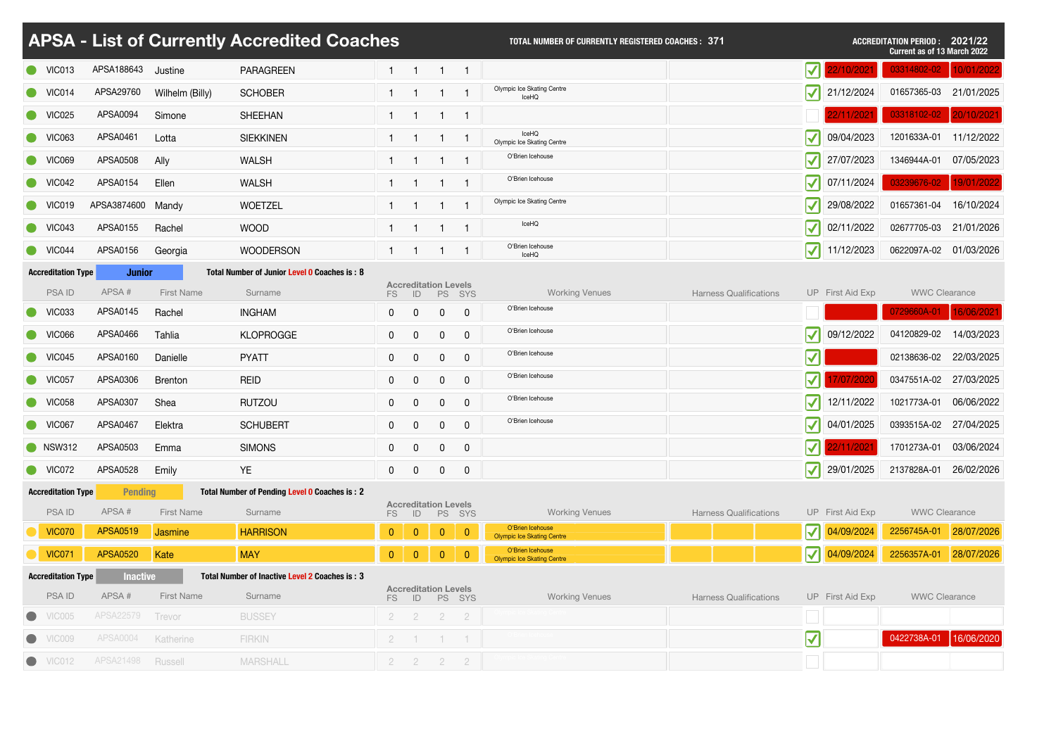|                            | <b>APSA - List of Currently Accredited Coaches</b> |                   | <b>TOTAL NUMBER OF CURRENTLY REGISTERED COACHES: 371</b> |                |                                   |                |                |                                                       |                               | <b>ACCREDITATION PERIOD: 2021/22</b><br><b>Current as of 13 March 2022</b> |                       |                        |            |  |
|----------------------------|----------------------------------------------------|-------------------|----------------------------------------------------------|----------------|-----------------------------------|----------------|----------------|-------------------------------------------------------|-------------------------------|----------------------------------------------------------------------------|-----------------------|------------------------|------------|--|
| VIC013                     | APSA188643                                         | Justine           | <b>PARAGREEN</b>                                         |                |                                   |                |                |                                                       |                               | V                                                                          | 2/10/202 <sup>.</sup> | 03314802-02            | 10/01/2022 |  |
| VIC014                     | APSA29760                                          | Wilhelm (Billy)   | <b>SCHOBER</b>                                           |                |                                   |                |                | Olympic Ice Skating Centre<br>IceHQ                   |                               | $ \boldsymbol{\mathcal{N}} $                                               | 21/12/2024            | 01657365-03            | 21/01/2025 |  |
| $\bullet$ VIC025           | APSA0094                                           | Simone            | <b>SHEEHAN</b>                                           |                |                                   |                |                |                                                       |                               |                                                                            |                       | 03318102-02            | 20/10/2021 |  |
| <b>VIC063</b>              | APSA0461                                           | Lotta             | <b>SIEKKINEN</b>                                         |                |                                   |                |                | IceHQ<br>Olympic Ice Skating Centre                   |                               | $ \boldsymbol{\mathcal{N}} $                                               | 09/04/2023            | 1201633A-01            | 11/12/2022 |  |
| <b>VIC069</b>              | <b>APSA0508</b>                                    | Ally              | <b>WALSH</b>                                             |                |                                   |                |                | O'Brien Icehouse                                      |                               | $\vert \blacktriangledown \vert$                                           | 27/07/2023            | 1346944A-01            | 07/05/2023 |  |
| VIC042                     | APSA0154                                           | Ellen             | <b>WALSH</b>                                             |                |                                   |                |                | O'Brien Icehouse                                      |                               | $\vert\blacktriangledown\vert$                                             | 07/11/2024            | 03239676-02            | 19/01/2022 |  |
| <b>VIC019</b>              | APSA3874600 Mandy                                  |                   | <b>WOETZEL</b>                                           |                |                                   |                |                | <b>Olympic Ice Skating Centre</b>                     |                               | $\vert\blacktriangledown\vert$                                             | 29/08/2022            | 01657361-04            | 16/10/2024 |  |
| $\bullet$ VIC043           | APSA0155                                           | Rachel            | <b>WOOD</b>                                              |                | - 1                               | -1             |                | IceHQ                                                 |                               | $\vert\blacktriangledown\vert$                                             | 02/11/2022            | 02677705-03            | 21/01/2026 |  |
| VIC044                     | APSA0156                                           | Georgia           | <b>WOODERSON</b>                                         |                |                                   |                |                | O'Brien Icehouse<br>IceHQ                             |                               | $ \boldsymbol{\mathcal{N}} $                                               | 11/12/2023            | 0622097A-02            | 01/03/2026 |  |
| <b>Accreditation Type</b>  | <b>Junior</b>                                      |                   | Total Number of Junior Level 0 Coaches is: 8             |                |                                   |                |                |                                                       |                               |                                                                            |                       |                        |            |  |
| <b>PSAID</b>               | APSA#                                              | <b>First Name</b> | Surname                                                  | FS             | <b>Accreditation Levels</b><br>ID |                | PS SYS         | <b>Working Venues</b>                                 | <b>Harness Qualifications</b> |                                                                            | UP First Aid Exp      | <b>WWC Clearance</b>   |            |  |
| <b>VIC033</b>              | APSA0145                                           | Rachel            | <b>INGHAM</b>                                            | $\mathbf{0}$   | $\mathbf{0}$                      | $\mathbf 0$    | $\overline{0}$ | O'Brien Icehouse                                      |                               |                                                                            |                       | 0729660A-01            | 16/06/2021 |  |
| <b>VIC066</b>              | APSA0466                                           | Tahlia            | <b>KLOPROGGE</b>                                         | $\mathbf{0}$   | $\mathbf{0}$                      | 0              | $\mathbf 0$    | O'Brien Icehouse                                      |                               | $\blacktriangledown$                                                       | 09/12/2022            | 04120829-02            | 14/03/2023 |  |
| VIC045                     | APSA0160                                           | Danielle          | <b>PYATT</b>                                             | 0              | $\mathbf 0$                       | 0              |                | O'Brien Icehouse                                      |                               | ا د<br>$\blacktriangledown$                                                |                       | 02138636-02            | 22/03/2025 |  |
| VIC057                     | APSA0306                                           | <b>Brenton</b>    | <b>REID</b>                                              | $\mathbf 0$    | $\overline{0}$                    | $\mathbf 0$    | $\overline{0}$ | O'Brien Icehouse                                      |                               | $\bm{\triangledown}$ ll                                                    | 7/07/2020             | 0347551A-02 27/03/2025 |            |  |
| <b>VIC058</b>              | APSA0307                                           | Shea              | <b>RUTZOU</b>                                            | $\mathbf{0}$   | $\mathbf 0$                       | $\mathbf 0$    | $\mathbf 0$    | O'Brien Icehouse                                      |                               | $\vert\blacktriangledown\vert$                                             | 12/11/2022            | 1021773A-01            | 06/06/2022 |  |
| VIC067                     | APSA0467                                           | Elektra           | <b>SCHUBERT</b>                                          | $\mathbf 0$    | $\overline{0}$                    | $\mathbf 0$    | $\mathbf 0$    | O'Brien Icehouse                                      |                               | $ \boldsymbol{\mathcal{N}} $                                               | 04/01/2025            | 0393515A-02            | 27/04/2025 |  |
| <b>NSW312</b>              | APSA0503                                           | Emma              | <b>SIMONS</b>                                            | $\mathbf{0}$   | $\mathbf 0$                       | $\mathbf 0$    | $\overline{0}$ |                                                       |                               | $\vert \mathcal{J} \vert \vert$                                            | 2/11/2021             | 1701273A-01            | 03/06/2024 |  |
| VIC072                     | APSA0528                                           | Emily             | <b>YE</b>                                                | $\mathbf 0$    | $\overline{0}$                    | $\mathbf 0$    | $\overline{0}$ |                                                       |                               | $\vert \mathcal{V} \vert$                                                  | 29/01/2025            | 2137828A-01            | 26/02/2026 |  |
| <b>Accreditation Type</b>  | <b>Pending</b>                                     |                   | Total Number of Pending Level 0 Coaches is: 2            |                |                                   |                |                |                                                       |                               |                                                                            |                       |                        |            |  |
| <b>PSAID</b>               | APSA#                                              | <b>First Name</b> | Surname                                                  | FS             | <b>Accreditation Levels</b><br>ID | <b>PS</b>      | SYS            | <b>Working Venues</b>                                 | <b>Harness Qualifications</b> |                                                                            | UP First Aid Exp      | <b>WWC Clearance</b>   |            |  |
| <b>VIC070</b>              | <b>APSA0519</b>                                    | <b>Jasmine</b>    | <b>HARRISON</b>                                          | $\mathbf{0}$   | $\overline{0}$                    | $\mathbf{0}$   | $\overline{0}$ | O'Brien Icehouse<br><b>Olympic Ice Skating Centre</b> |                               | $\vert \mathcal{V} \vert$                                                  | 04/09/2024            | 2256745A-01            | 28/07/2026 |  |
| <b>VIC071</b>              | <b>APSA0520</b>                                    | Kate              | <b>MAY</b>                                               | $\mathbf{0}$   | $\overline{0}$                    | $\overline{0}$ | $\overline{0}$ | O'Brien Icehouse<br><b>Olympic Ice Skating Centre</b> |                               | $ \boldsymbol{\mathcal{N}} $                                               | 04/09/2024            | 2256357A-01            | 28/07/2026 |  |
| <b>Accreditation Type</b>  | <b>Inactive</b>                                    |                   | Total Number of Inactive Level 2 Coaches is: 3           |                |                                   |                |                |                                                       |                               |                                                                            |                       |                        |            |  |
| <b>PSAID</b>               | APSA#                                              | <b>First Name</b> | Surname                                                  | FS.            | <b>Accreditation Levels</b><br>ID |                | PS SYS         | <b>Working Venues</b>                                 | <b>Harness Qualifications</b> |                                                                            | UP First Aid Exp      | <b>WWC Clearance</b>   |            |  |
| VIC005<br>$\bullet$        | <b>APSA22579</b>                                   | Trevor            | <b>BUSSEY</b>                                            | $\overline{2}$ | $\overline{2}$                    | $\overline{2}$ | $\overline{2}$ |                                                       |                               |                                                                            |                       |                        |            |  |
| VIC009                     | <b>APSA0004</b>                                    | Katherine         | <b>FIRKIN</b>                                            | $2^{\circ}$    |                                   |                |                |                                                       |                               | $\blacktriangledown$                                                       |                       | 0422738A-01            | 16/06/2020 |  |
| <b>VIC012</b><br>$\bullet$ | APSA21498                                          | Russell           | <b>MARSHALL</b>                                          | $2^{\circ}$    | $\overline{2}$                    | $\overline{2}$ | $\overline{2}$ |                                                       |                               |                                                                            |                       |                        |            |  |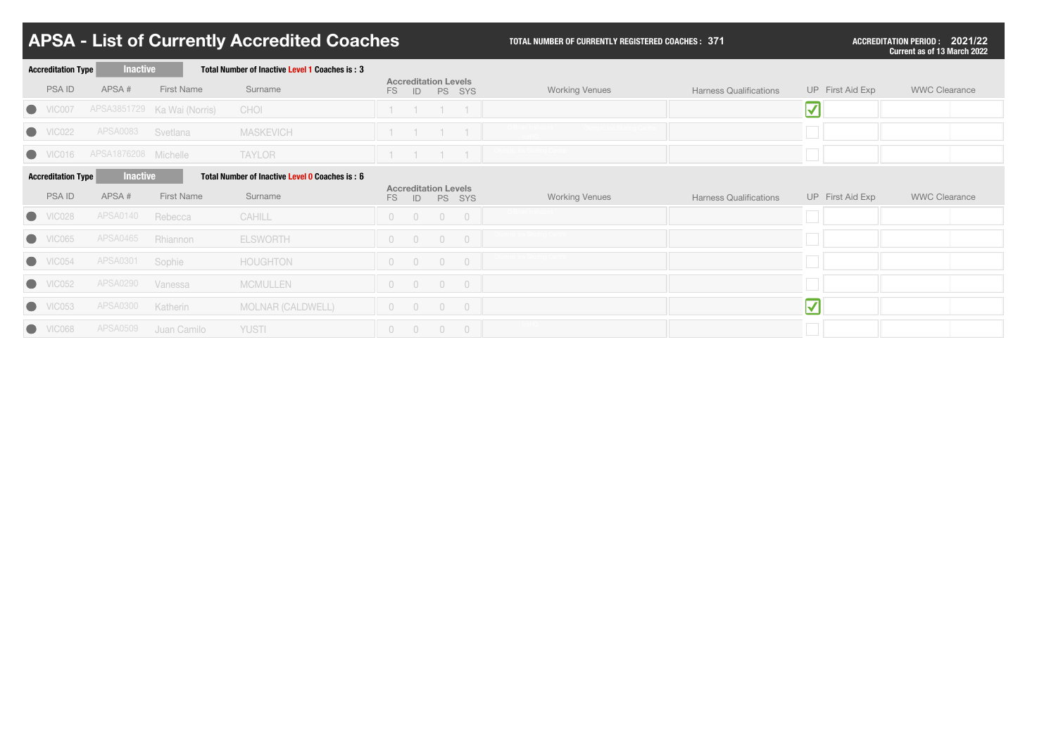| <b>Accreditation Type</b> | <b>Inactive</b>      |                             | Total Number of Inactive Level 1 Coaches is: 3 |                |                          |                                          |                          |                       |                               |                           |                      |
|---------------------------|----------------------|-----------------------------|------------------------------------------------|----------------|--------------------------|------------------------------------------|--------------------------|-----------------------|-------------------------------|---------------------------|----------------------|
| <b>PSAID</b>              | APSA#                | <b>First Name</b>           | Surname                                        | FS             |                          | <b>Accreditation Levels</b><br>ID PS SYS |                          | <b>Working Venues</b> | <b>Harness Qualifications</b> | UP First Aid Exp          | <b>WWC Clearance</b> |
| $\bullet$<br>VIC007       |                      | APSA3851729 Ka Wai (Norris) | CHOI                                           |                |                          |                                          |                          |                       |                               | $\blacktriangledown$      |                      |
| $\bullet$<br>VIC022       | <b>APSA0083</b>      | Svetlana                    | <b>MASKEVICH</b>                               |                |                          |                                          |                          |                       |                               |                           |                      |
| VICO16                    | APSA1876208 Michelle |                             | <b>TAYLOR</b>                                  |                |                          |                                          |                          |                       |                               |                           |                      |
| <b>Accreditation Type</b> | <b>Inactive</b>      |                             | Total Number of Inactive Level 0 Coaches is: 6 |                |                          |                                          |                          |                       |                               |                           |                      |
| <b>PSAID</b>              | APSA#                | <b>First Name</b>           | Surname                                        | FS             | ID                       | <b>Accreditation Levels</b>              | PS SYS                   | <b>Working Venues</b> | <b>Harness Qualifications</b> | UP First Aid Exp          | <b>WWC Clearance</b> |
| VICO28                    | <b>APSA0140</b>      | Rebecca                     | CAHILL                                         | $\overline{0}$ | $\overline{0}$           | $\overline{0}$                           | $\overline{0}$           |                       |                               |                           |                      |
| $\bullet$<br>VIC065       | <b>APSA0465</b>      | Rhiannon                    | <b>ELSWORTH</b>                                | $\overline{0}$ | $\bigcirc$               | $\overline{0}$                           | $\bigcirc$               |                       |                               |                           |                      |
| $\bullet$ VIC054          | APSA0301             | Sophie                      | <b>HOUGHTON</b>                                | $\overline{0}$ | $\bigcirc$               | $\overline{0}$                           | $\bigcirc$               |                       |                               |                           |                      |
| $\bullet$<br>VIC052       | <b>APSA0290</b>      | Vanessa                     | <b>MCMULLEN</b>                                | $\overline{0}$ | $\overline{\phantom{0}}$ | $\overline{\phantom{0}}$                 | $\overline{\phantom{0}}$ |                       |                               |                           |                      |
| $\bullet$<br>VIC053       | <b>APSA0300</b>      | Katherin                    | <b>MOLNAR (CALDWELL)</b>                       | $\circ$        | $\overline{0}$           | $\overline{0}$                           | $\overline{\phantom{0}}$ |                       |                               | $\bm{\blacktriangledown}$ |                      |
| $\bullet$<br>VIC068       | <b>APSA0509</b>      | Juan Camilo                 | <b>YUSTI</b>                                   | $0\qquad 0$    |                          | $\bigcirc$                               | $\overline{0}$           |                       |                               |                           |                      |

| <b>Harness Qualifications</b> | UP First Aid Exp | <b>WWC Clearance</b> |  |
|-------------------------------|------------------|----------------------|--|
|                               |                  |                      |  |
|                               |                  |                      |  |
|                               |                  |                      |  |
|                               |                  |                      |  |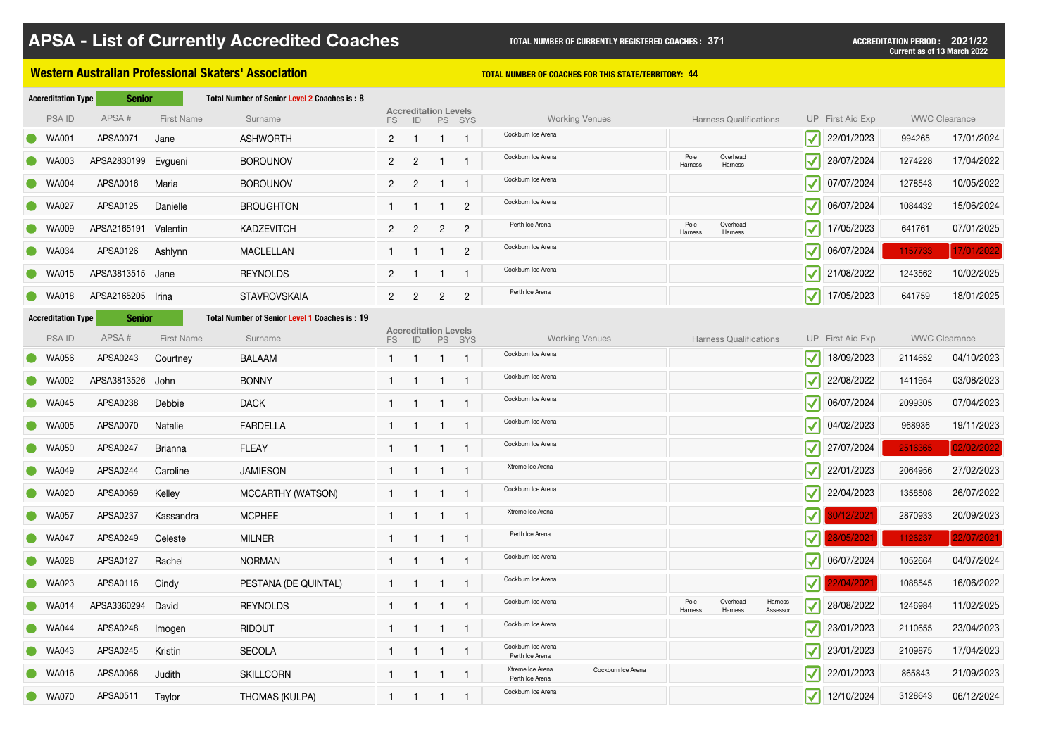### **Western Australian Professional Skaters' Association TELL AUGLES TOTAL NUMBER OF COACHES FOR THIS STATE/TERRITORY: 44**

| <b>Accreditation Type</b> | <b>Senior</b>     |                   | Total Number of Senior Level 2 Coaches is: 8  |                |                                   |                 |                |                                                           |                 |                               |                                                              |                  |         |                      |
|---------------------------|-------------------|-------------------|-----------------------------------------------|----------------|-----------------------------------|-----------------|----------------|-----------------------------------------------------------|-----------------|-------------------------------|--------------------------------------------------------------|------------------|---------|----------------------|
| <b>PSAID</b>              | APSA#             | <b>First Name</b> | Surname                                       | FS             | <b>Accreditation Levels</b><br>ID |                 | PS SYS         | <b>Working Venues</b>                                     |                 | <b>Harness Qualifications</b> |                                                              | UP First Aid Exp |         | <b>WWC Clearance</b> |
| <b>WA001</b>              | APSA0071          | Jane              | <b>ASHWORTH</b>                               | $2^{\circ}$    | $\overline{\mathbf{1}}$           | $\overline{1}$  |                | Cockburn Ice Arena                                        |                 |                               | $\vert \blacktriangledown \vert$                             | 22/01/2023       | 994265  | 17/01/2024           |
| <b>WA003</b>              | APSA2830199       | Evgueni           | <b>BOROUNOV</b>                               | $\mathbf{2}$   | $\overline{2}$                    |                 |                | Cockburn Ice Arena                                        | Pole<br>Harness | Overhead<br>Harness           | $ \boldsymbol{\mathcal{N}} $                                 | 28/07/2024       | 1274228 | 17/04/2022           |
| <b>WA004</b>              | APSA0016          | Maria             | <b>BOROUNOV</b>                               | $2^{\circ}$    | $\overline{2}$                    |                 |                | Cockburn Ice Arena                                        |                 |                               | $ \boldsymbol{\mathcal{N}} $                                 | 07/07/2024       | 1278543 | 10/05/2022           |
| <b>WA027</b>              | APSA0125          | Danielle          | <b>BROUGHTON</b>                              |                |                                   |                 | $\overline{2}$ | Cockburn Ice Arena                                        |                 |                               | $ \boldsymbol{\mathcal{N}} $                                 | 06/07/2024       | 1084432 | 15/06/2024           |
| <b>WA009</b>              | APSA2165191       | Valentin          | <b>KADZEVITCH</b>                             | 2 <sup>1</sup> | $\overline{2}$                    | $2^{\circ}$     | $\overline{2}$ | Perth Ice Arena                                           | Pole<br>Harness | Overhead<br>Harness           | $ \boldsymbol{\mathcal{N}} $                                 | 17/05/2023       | 641761  | 07/01/2025           |
| <b>WA034</b>              | APSA0126          | Ashlynn           | <b>MACLELLAN</b>                              |                | $\blacksquare$                    | $\leq$ 1 $\geq$ | $2^{\circ}$    | Cockburn Ice Arena                                        |                 |                               | $ \boldsymbol{\mathcal{N}} $                                 | 06/07/2024       | 1157733 | 17/01/2022           |
| <b>WA015</b>              | APSA3813515 Jane  |                   | <b>REYNOLDS</b>                               | $2^{\circ}$    | $\blacksquare$                    |                 |                | Cockburn Ice Arena                                        |                 |                               | $ \boldsymbol{\checkmark} $                                  | 21/08/2022       | 1243562 | 10/02/2025           |
| WA018                     | APSA2165205 Irina |                   | <b>STAVROVSKAIA</b>                           | $\overline{2}$ | $\overline{2}$                    | $2^{\circ}$     | $\overline{2}$ | Perth Ice Arena                                           |                 |                               | $ \boldsymbol{\checkmark} $                                  | 17/05/2023       | 641759  | 18/01/2025           |
| <b>Accreditation Type</b> | <b>Senior</b>     |                   | Total Number of Senior Level 1 Coaches is: 19 |                |                                   |                 |                |                                                           |                 |                               |                                                              |                  |         |                      |
| <b>PSAID</b>              | APSA#             | <b>First Name</b> | Surname                                       | FS             | <b>Accreditation Levels</b><br>ID |                 | PS SYS         | <b>Working Venues</b>                                     |                 | <b>Harness Qualifications</b> |                                                              | UP First Aid Exp |         | <b>WWC Clearance</b> |
| <b>WA056</b>              | APSA0243          | Courtney          | <b>BALAAM</b>                                 |                | $\mathbf{1}$                      |                 |                | Cockburn Ice Arena                                        |                 |                               | $ \boldsymbol{\checkmark} $                                  | 18/09/2023       | 2114652 | 04/10/2023           |
| <b>WA002</b>              | APSA3813526 John  |                   | <b>BONNY</b>                                  |                |                                   |                 |                | Cockburn Ice Arena                                        |                 |                               | $ \boldsymbol{\mathcal{N}} $                                 | 22/08/2022       | 1411954 | 03/08/2023           |
| <b>WA045</b>              | APSA0238          | Debbie            | <b>DACK</b>                                   |                |                                   |                 |                | Cockburn Ice Arena                                        |                 |                               | $ \boldsymbol{\mathcal{N}} $                                 | 06/07/2024       | 2099305 | 07/04/2023           |
| <b>WA005</b>              | APSA0070          | Natalie           | <b>FARDELLA</b>                               |                |                                   |                 |                | Cockburn Ice Arena                                        |                 |                               | $\overline{\phantom{0}}$<br>$\vert \blacktriangledown \vert$ | 04/02/2023       | 968936  | 19/11/2023           |
| <b>WA050</b>              | APSA0247          | <b>Brianna</b>    | <b>FLEAY</b>                                  |                | $\blacksquare$                    | $\overline{1}$  |                | Cockburn Ice Arena                                        |                 |                               | $ \boldsymbol{\checkmark} $                                  | 27/07/2024       | 2516365 | 02/02/2022           |
| <b>WA049</b>              | APSA0244          | Caroline          | <b>JAMIESON</b>                               |                |                                   |                 |                | Xtreme Ice Arena                                          |                 |                               | $ \boldsymbol{\checkmark} $                                  | 22/01/2023       | 2064956 | 27/02/2023           |
| <b>WA020</b><br>$\bullet$ | APSA0069          | Kelley            | MCCARTHY (WATSON)                             |                |                                   |                 |                | Cockburn Ice Arena                                        |                 |                               | $ \boldsymbol{\checkmark} $                                  | 22/04/2023       | 1358508 | 26/07/2022           |
| <b>WA057</b>              | APSA0237          | Kassandra         | <b>MCPHEE</b>                                 |                |                                   |                 |                | Xtreme Ice Arena                                          |                 |                               | $\vert\mathbf{V}\vert\vert$                                  | 30/12/2021       | 2870933 | 20/09/2023           |
| <b>WA047</b>              | APSA0249          | Celeste           | <b>MILNER</b>                                 |                |                                   |                 |                | Perth Ice Arena                                           |                 |                               | $\vert\vert\vert$                                            | 28/05/2021       | 1126237 | 22/07/2021           |
| WA028                     | APSA0127          | Rachel            | <b>NORMAN</b>                                 |                | $\overline{1}$                    | $\overline{1}$  |                | Cockburn Ice Arena                                        |                 |                               | $ \boldsymbol{\mathcal{N}} $                                 | 06/07/2024       | 1052664 | 04/07/2024           |
| <b>WA023</b>              | APSA0116          | Cindy             | PESTANA (DE QUINTAL)                          |                |                                   |                 |                | Cockburn Ice Arena                                        |                 |                               | $\vert \mathcal{V} \vert$                                    | 22/04/2021       | 1088545 | 16/06/2022           |
| <b>WA014</b>              | APSA3360294       | David             | <b>REYNOLDS</b>                               |                | -1                                | -1              |                | Cockburn Ice Arena                                        | Pole<br>Harness | Overhead<br>Harness           | Harness<br>$ \boldsymbol{\checkmark} $<br>Assessor           | 28/08/2022       | 1246984 | 11/02/2025           |
| <b>WA044</b>              | APSA0248          | Imogen            | <b>RIDOUT</b>                                 |                |                                   |                 |                | Cockburn Ice Arena                                        |                 |                               | $ \boldsymbol{\mathcal{N}} $                                 | 23/01/2023       | 2110655 | 23/04/2023           |
| <b>WA043</b>              | APSA0245          | Kristin           | <b>SECOLA</b>                                 |                |                                   |                 |                | Cockburn Ice Arena<br>Perth Ice Arena                     |                 |                               | $ \boldsymbol{\checkmark} $                                  | 23/01/2023       | 2109875 | 17/04/2023           |
| <b>WA016</b>              | APSA0068          | Judith            | <b>SKILLCORN</b>                              |                | $\overline{1}$                    | $\leq 1$        |                | Xtreme Ice Arena<br>Cockburn Ice Arena<br>Perth Ice Arena |                 |                               | $ \boldsymbol{\mathcal{N}} $                                 | 22/01/2023       | 865843  | 21/09/2023           |
| <b>WA070</b>              | APSA0511          | Taylor            | <b>THOMAS (KULPA)</b>                         |                |                                   | $\mathbf{1}$    |                | Cockburn Ice Arena                                        |                 |                               | $ \boldsymbol{\mathcal{N}} $                                 | 12/10/2024       | 3128643 | 06/12/2024           |